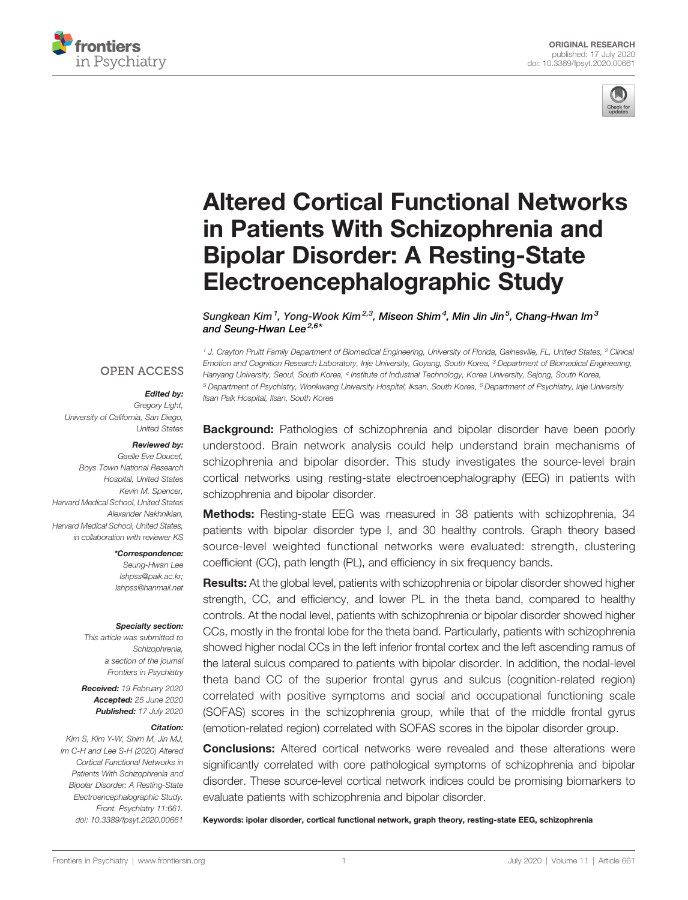



# [Altered Cortical Functional Networks](https://www.frontiersin.org/articles/10.3389/fpsyt.2020.00661/full) [in Patients With Schizophrenia and](https://www.frontiersin.org/articles/10.3389/fpsyt.2020.00661/full) [Bipolar Disorder: A Resting-State](https://www.frontiersin.org/articles/10.3389/fpsyt.2020.00661/full) [Electroencephalographic Study](https://www.frontiersin.org/articles/10.3389/fpsyt.2020.00661/full)

Sungkean Kim $^1$ , Yong-Wook Kim $^{2,3}$ , [Miseon Shim](https://loop.frontiersin.org/people/1002151) $^4$ , [Min Jin Jin](https://loop.frontiersin.org/people/431943) $^5$ , [Chang-Hwan Im](https://loop.frontiersin.org/people/319065) $^3$ and [Seung-Hwan Lee](https://loop.frontiersin.org/people/373945)<sup>2,6\*</sup>

#### **OPEN ACCESS**

#### Edited by:

Gregory Light, University of California, San Diego, United States

#### Reviewed by:

Gaelle Eve Doucet, Boys Town National Research Hospital, United States Kevin M. Spencer, Harvard Medical School, United States Alexander Nakhnikian, Harvard Medical School, United States, in collaboration with reviewer KS

\*Correspondence:

Seung-Hwan Lee [lshpss@paik.ac.kr;](mailto:lshpss@paik.ac.kr) [lshpss@hanmail.net](mailto:lshpss@hanmail.net)

#### Specialty section:

This article was submitted to Schizophrenia, a section of the journal Frontiers in Psychiatry

Received: 19 February 2020 Accepted: 25 June 2020 Published: 17 July 2020

#### Citation:

Kim S, Kim Y-W, Shim M, Jin MJ, Im C-H and Lee S-H (2020) Altered Cortical Functional Networks in Patients With Schizophrenia and Bipolar Disorder: A Resting-State Electroencephalographic Study. Front. Psychiatry 11:661. [doi: 10.3389/fpsyt.2020.00661](https://doi.org/10.3389/fpsyt.2020.00661)

Emotion and Cognition Research Laboratory, Inje University, Goyang, South Korea, <sup>3</sup> Department of Biomedical Engineering, Hanyang University, Seoul, South Korea, <sup>4</sup> Institute of Industrial Technology, Korea University, Sejong, South Korea, <sup>5</sup> Department of Psychiatry, Wonkwang University Hospital, Iksan, South Korea, <sup>6</sup> Department of Psychiatry, Inje University Ilsan Paik Hospital, Ilsan, South Korea

<sup>1</sup> J. Crayton Pruitt Family Department of Biomedical Engineering, University of Florida, Gainesville, FL, United States, <sup>2</sup> Clinical

**Background:** Pathologies of schizophrenia and bipolar disorder have been poorly understood. Brain network analysis could help understand brain mechanisms of schizophrenia and bipolar disorder. This study investigates the source-level brain cortical networks using resting-state electroencephalography (EEG) in patients with schizophrenia and bipolar disorder.

Methods: Resting-state EEG was measured in 38 patients with schizophrenia, 34 patients with bipolar disorder type I, and 30 healthy controls. Graph theory based source-level weighted functional networks were evaluated: strength, clustering coefficient (CC), path length (PL), and efficiency in six frequency bands.

Results: At the global level, patients with schizophrenia or bipolar disorder showed higher strength, CC, and efficiency, and lower PL in the theta band, compared to healthy controls. At the nodal level, patients with schizophrenia or bipolar disorder showed higher CCs, mostly in the frontal lobe for the theta band. Particularly, patients with schizophrenia showed higher nodal CCs in the left inferior frontal cortex and the left ascending ramus of the lateral sulcus compared to patients with bipolar disorder. In addition, the nodal-level theta band CC of the superior frontal gyrus and sulcus (cognition-related region) correlated with positive symptoms and social and occupational functioning scale (SOFAS) scores in the schizophrenia group, while that of the middle frontal gyrus (emotion-related region) correlated with SOFAS scores in the bipolar disorder group.

**Conclusions:** Altered cortical networks were revealed and these alterations were significantly correlated with core pathological symptoms of schizophrenia and bipolar disorder. These source-level cortical network indices could be promising biomarkers to evaluate patients with schizophrenia and bipolar disorder.

Keywords: ipolar disorder, cortical functional network, graph theory, resting-state EEG, schizophrenia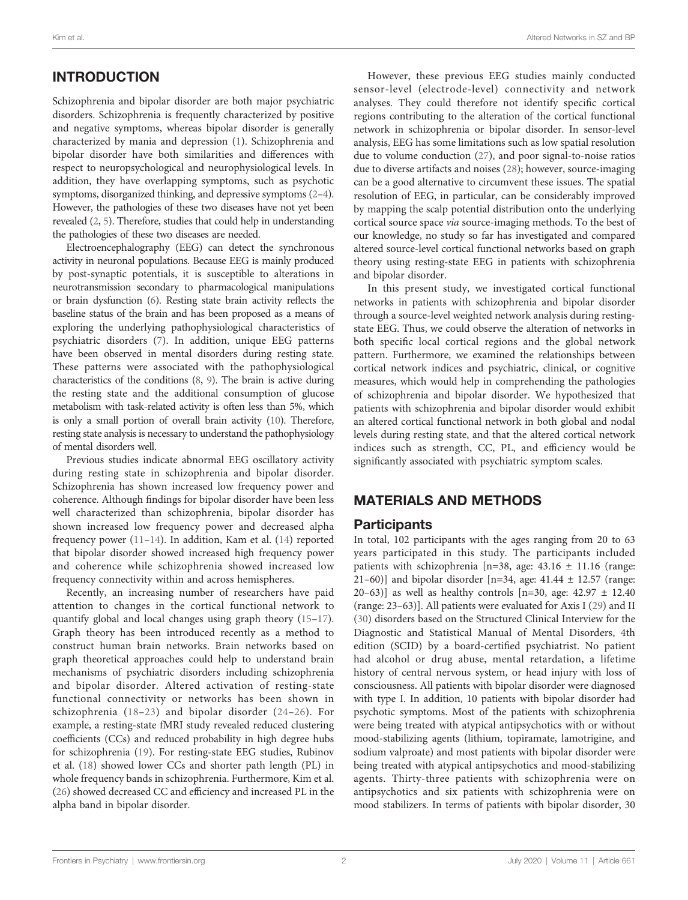# INTRODUCTION

Schizophrenia and bipolar disorder are both major psychiatric disorders. Schizophrenia is frequently characterized by positive and negative symptoms, whereas bipolar disorder is generally characterized by mania and depression [\(1\)](#page-9-0). Schizophrenia and bipolar disorder have both similarities and differences with respect to neuropsychological and neurophysiological levels. In addition, they have overlapping symptoms, such as psychotic symptoms, disorganized thinking, and depressive symptoms [\(2](#page-9-0)–[4\)](#page-9-0). However, the pathologies of these two diseases have not yet been revealed ([2](#page-9-0), [5\)](#page-9-0). Therefore, studies that could help in understanding the pathologies of these two diseases are needed.

Electroencephalography (EEG) can detect the synchronous activity in neuronal populations. Because EEG is mainly produced by post-synaptic potentials, it is susceptible to alterations in neurotransmission secondary to pharmacological manipulations or brain dysfunction [\(6\)](#page-9-0). Resting state brain activity reflects the baseline status of the brain and has been proposed as a means of exploring the underlying pathophysiological characteristics of psychiatric disorders ([7](#page-9-0)). In addition, unique EEG patterns have been observed in mental disorders during resting state. These patterns were associated with the pathophysiological characteristics of the conditions [\(8,](#page-9-0) [9](#page-9-0)). The brain is active during the resting state and the additional consumption of glucose metabolism with task-related activity is often less than 5%, which is only a small portion of overall brain activity ([10](#page-9-0)). Therefore, resting state analysis is necessary to understand the pathophysiology of mental disorders well.

Previous studies indicate abnormal EEG oscillatory activity during resting state in schizophrenia and bipolar disorder. Schizophrenia has shown increased low frequency power and coherence. Although findings for bipolar disorder have been less well characterized than schizophrenia, bipolar disorder has shown increased low frequency power and decreased alpha frequency power ([11](#page-9-0)–[14\)](#page-9-0). In addition, Kam et al. [\(14](#page-9-0)) reported that bipolar disorder showed increased high frequency power and coherence while schizophrenia showed increased low frequency connectivity within and across hemispheres.

Recently, an increasing number of researchers have paid attention to changes in the cortical functional network to quantify global and local changes using graph theory ([15](#page-9-0)–[17\)](#page-9-0). Graph theory has been introduced recently as a method to construct human brain networks. Brain networks based on graph theoretical approaches could help to understand brain mechanisms of psychiatric disorders including schizophrenia and bipolar disorder. Altered activation of resting-state functional connectivity or networks has been shown in schizophrenia [\(18](#page-9-0)–[23\)](#page-9-0) and bipolar disorder ([24](#page-10-0)–[26](#page-10-0)). For example, a resting-state fMRI study revealed reduced clustering coefficients (CCs) and reduced probability in high degree hubs for schizophrenia ([19\)](#page-9-0). For resting-state EEG studies, Rubinov et al. [\(18\)](#page-9-0) showed lower CCs and shorter path length (PL) in whole frequency bands in schizophrenia. Furthermore, Kim et al. ([26\)](#page-10-0) showed decreased CC and efficiency and increased PL in the alpha band in bipolar disorder.

However, these previous EEG studies mainly conducted sensor-level (electrode-level) connectivity and network analyses. They could therefore not identify specific cortical regions contributing to the alteration of the cortical functional network in schizophrenia or bipolar disorder. In sensor-level analysis, EEG has some limitations such as low spatial resolution due to volume conduction ([27](#page-10-0)), and poor signal-to-noise ratios due to diverse artifacts and noises [\(28\)](#page-10-0); however, source-imaging can be a good alternative to circumvent these issues. The spatial resolution of EEG, in particular, can be considerably improved by mapping the scalp potential distribution onto the underlying cortical source space via source-imaging methods. To the best of our knowledge, no study so far has investigated and compared altered source-level cortical functional networks based on graph theory using resting-state EEG in patients with schizophrenia and bipolar disorder.

In this present study, we investigated cortical functional networks in patients with schizophrenia and bipolar disorder through a source-level weighted network analysis during restingstate EEG. Thus, we could observe the alteration of networks in both specific local cortical regions and the global network pattern. Furthermore, we examined the relationships between cortical network indices and psychiatric, clinical, or cognitive measures, which would help in comprehending the pathologies of schizophrenia and bipolar disorder. We hypothesized that patients with schizophrenia and bipolar disorder would exhibit an altered cortical functional network in both global and nodal levels during resting state, and that the altered cortical network indices such as strength, CC, PL, and efficiency would be significantly associated with psychiatric symptom scales.

### MATERIALS AND METHODS

# **Participants**

In total, 102 participants with the ages ranging from 20 to 63 years participated in this study. The participants included patients with schizophrenia [n=38, age:  $43.16 \pm 11.16$  (range: 21–60)] and bipolar disorder [n=34, age:  $41.44 \pm 12.57$  (range: 20–63)] as well as healthy controls  $[n=30, 1]$  age:  $42.97 \pm 12.40$ (range: 23–63)]. All patients were evaluated for Axis I ([29\)](#page-10-0) and II [\(30\)](#page-10-0) disorders based on the Structured Clinical Interview for the Diagnostic and Statistical Manual of Mental Disorders, 4th edition (SCID) by a board-certified psychiatrist. No patient had alcohol or drug abuse, mental retardation, a lifetime history of central nervous system, or head injury with loss of consciousness. All patients with bipolar disorder were diagnosed with type I. In addition, 10 patients with bipolar disorder had psychotic symptoms. Most of the patients with schizophrenia were being treated with atypical antipsychotics with or without mood-stabilizing agents (lithium, topiramate, lamotrigine, and sodium valproate) and most patients with bipolar disorder were being treated with atypical antipsychotics and mood-stabilizing agents. Thirty-three patients with schizophrenia were on antipsychotics and six patients with schizophrenia were on mood stabilizers. In terms of patients with bipolar disorder, 30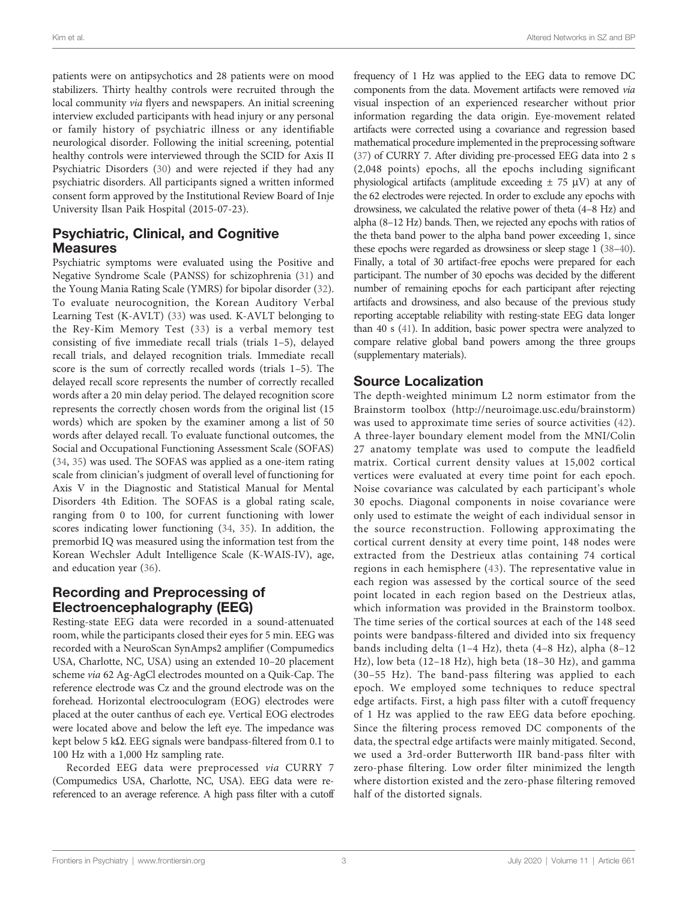patients were on antipsychotics and 28 patients were on mood stabilizers. Thirty healthy controls were recruited through the local community via flyers and newspapers. An initial screening interview excluded participants with head injury or any personal or family history of psychiatric illness or any identifiable neurological disorder. Following the initial screening, potential healthy controls were interviewed through the SCID for Axis II Psychiatric Disorders ([30\)](#page-10-0) and were rejected if they had any psychiatric disorders. All participants signed a written informed consent form approved by the Institutional Review Board of Inje University Ilsan Paik Hospital (2015-07-23).

### Psychiatric, Clinical, and Cognitive Measures

Psychiatric symptoms were evaluated using the Positive and Negative Syndrome Scale (PANSS) for schizophrenia ([31](#page-10-0)) and the Young Mania Rating Scale (YMRS) for bipolar disorder ([32\)](#page-10-0). To evaluate neurocognition, the Korean Auditory Verbal Learning Test (K-AVLT) [\(33\)](#page-10-0) was used. K-AVLT belonging to the Rey-Kim Memory Test [\(33](#page-10-0)) is a verbal memory test consisting of five immediate recall trials (trials 1–5), delayed recall trials, and delayed recognition trials. Immediate recall score is the sum of correctly recalled words (trials 1–5). The delayed recall score represents the number of correctly recalled words after a 20 min delay period. The delayed recognition score represents the correctly chosen words from the original list (15 words) which are spoken by the examiner among a list of 50 words after delayed recall. To evaluate functional outcomes, the Social and Occupational Functioning Assessment Scale (SOFAS) ([34,](#page-10-0) [35\)](#page-10-0) was used. The SOFAS was applied as a one-item rating scale from clinician's judgment of overall level of functioning for Axis V in the Diagnostic and Statistical Manual for Mental Disorders 4th Edition. The SOFAS is a global rating scale, ranging from 0 to 100, for current functioning with lower scores indicating lower functioning [\(34](#page-10-0), [35\)](#page-10-0). In addition, the premorbid IQ was measured using the information test from the Korean Wechsler Adult Intelligence Scale (K-WAIS-IV), age, and education year ([36\)](#page-10-0).

# Recording and Preprocessing of Electroencephalography (EEG)

Resting-state EEG data were recorded in a sound-attenuated room, while the participants closed their eyes for 5 min. EEG was recorded with a NeuroScan SynAmps2 amplifier (Compumedics USA, Charlotte, NC, USA) using an extended 10–20 placement scheme via 62 Ag-AgCl electrodes mounted on a Quik-Cap. The reference electrode was Cz and the ground electrode was on the forehead. Horizontal electrooculogram (EOG) electrodes were placed at the outer canthus of each eye. Vertical EOG electrodes were located above and below the left eye. The impedance was kept below 5 k $\Omega$ . EEG signals were bandpass-filtered from 0.1 to 100 Hz with a 1,000 Hz sampling rate.

Recorded EEG data were preprocessed via CURRY 7 (Compumedics USA, Charlotte, NC, USA). EEG data were rereferenced to an average reference. A high pass filter with a cutoff

frequency of 1 Hz was applied to the EEG data to remove DC components from the data. Movement artifacts were removed via visual inspection of an experienced researcher without prior information regarding the data origin. Eye-movement related artifacts were corrected using a covariance and regression based mathematical procedure implemented in the preprocessing software [\(37\)](#page-10-0) of CURRY 7. After dividing pre-processed EEG data into 2 s (2,048 points) epochs, all the epochs including significant physiological artifacts (amplitude exceeding  $\pm$  75  $\mu$ V) at any of the 62 electrodes were rejected. In order to exclude any epochs with drowsiness, we calculated the relative power of theta (4–8 Hz) and alpha (8–12 Hz) bands. Then, we rejected any epochs with ratios of the theta band power to the alpha band power exceeding 1, since these epochs were regarded as drowsiness or sleep stage 1 ([38](#page-10-0)–[40\)](#page-10-0). Finally, a total of 30 artifact-free epochs were prepared for each participant. The number of 30 epochs was decided by the different number of remaining epochs for each participant after rejecting artifacts and drowsiness, and also because of the previous study reporting acceptable reliability with resting-state EEG data longer than 40 s ([41](#page-10-0)). In addition, basic power spectra were analyzed to compare relative global band powers among the three groups (supplementary materials).

# Source Localization

The depth-weighted minimum L2 norm estimator from the Brainstorm toolbox [\(http://neuroimage.usc.edu/brainstorm\)](http://neuroimage.usc.edu/brainstorm) was used to approximate time series of source activities ([42](#page-10-0)). A three-layer boundary element model from the MNI/Colin 27 anatomy template was used to compute the leadfield matrix. Cortical current density values at 15,002 cortical vertices were evaluated at every time point for each epoch. Noise covariance was calculated by each participant's whole 30 epochs. Diagonal components in noise covariance were only used to estimate the weight of each individual sensor in the source reconstruction. Following approximating the cortical current density at every time point, 148 nodes were extracted from the Destrieux atlas containing 74 cortical regions in each hemisphere ([43](#page-10-0)). The representative value in each region was assessed by the cortical source of the seed point located in each region based on the Destrieux atlas, which information was provided in the Brainstorm toolbox. The time series of the cortical sources at each of the 148 seed points were bandpass-filtered and divided into six frequency bands including delta (1–4 Hz), theta (4–8 Hz), alpha (8–12 Hz), low beta (12–18 Hz), high beta (18–30 Hz), and gamma (30–55 Hz). The band-pass filtering was applied to each epoch. We employed some techniques to reduce spectral edge artifacts. First, a high pass filter with a cutoff frequency of 1 Hz was applied to the raw EEG data before epoching. Since the filtering process removed DC components of the data, the spectral edge artifacts were mainly mitigated. Second, we used a 3rd-order Butterworth IIR band-pass filter with zero-phase filtering. Low order filter minimized the length where distortion existed and the zero-phase filtering removed half of the distorted signals.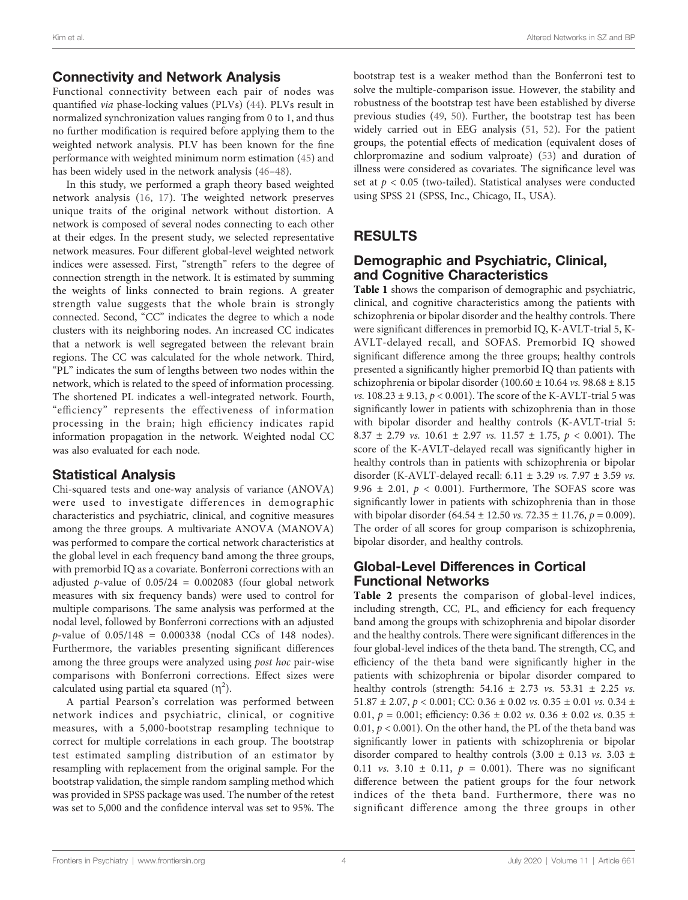### Connectivity and Network Analysis

Functional connectivity between each pair of nodes was quantified via phase-locking values (PLVs) [\(44\)](#page-10-0). PLVs result in normalized synchronization values ranging from 0 to 1, and thus no further modification is required before applying them to the weighted network analysis. PLV has been known for the fine performance with weighted minimum norm estimation [\(45](#page-10-0)) and has been widely used in the network analysis [\(46](#page-10-0)–[48](#page-10-0)).

In this study, we performed a graph theory based weighted network analysis ([16](#page-9-0), [17](#page-9-0)). The weighted network preserves unique traits of the original network without distortion. A network is composed of several nodes connecting to each other at their edges. In the present study, we selected representative network measures. Four different global-level weighted network indices were assessed. First, "strength" refers to the degree of connection strength in the network. It is estimated by summing the weights of links connected to brain regions. A greater strength value suggests that the whole brain is strongly connected. Second, "CC" indicates the degree to which a node clusters with its neighboring nodes. An increased CC indicates that a network is well segregated between the relevant brain regions. The CC was calculated for the whole network. Third, "PL" indicates the sum of lengths between two nodes within the network, which is related to the speed of information processing. The shortened PL indicates a well-integrated network. Fourth, "efficiency" represents the effectiveness of information processing in the brain; high efficiency indicates rapid information propagation in the network. Weighted nodal CC was also evaluated for each node.

### Statistical Analysis

Chi-squared tests and one-way analysis of variance (ANOVA) were used to investigate differences in demographic characteristics and psychiatric, clinical, and cognitive measures among the three groups. A multivariate ANOVA (MANOVA) was performed to compare the cortical network characteristics at the global level in each frequency band among the three groups, with premorbid IQ as a covariate. Bonferroni corrections with an adjusted p-value of  $0.05/24 = 0.002083$  (four global network measures with six frequency bands) were used to control for multiple comparisons. The same analysis was performed at the nodal level, followed by Bonferroni corrections with an adjusted p-value of 0.05/148 = 0.000338 (nodal CCs of 148 nodes). Furthermore, the variables presenting significant differences among the three groups were analyzed using *post hoc* pair-wise comparisons with Bonferroni corrections. Effect sizes were calculated using partial eta squared  $(\eta^2)$ .

A partial Pearson's correlation was performed between network indices and psychiatric, clinical, or cognitive measures, with a 5,000-bootstrap resampling technique to correct for multiple correlations in each group. The bootstrap test estimated sampling distribution of an estimator by resampling with replacement from the original sample. For the bootstrap validation, the simple random sampling method which was provided in SPSS package was used. The number of the retest was set to 5,000 and the confidence interval was set to 95%. The

bootstrap test is a weaker method than the Bonferroni test to solve the multiple-comparison issue. However, the stability and robustness of the bootstrap test have been established by diverse previous studies [\(49,](#page-10-0) [50\)](#page-10-0). Further, the bootstrap test has been widely carried out in EEG analysis ([51,](#page-10-0) [52\)](#page-10-0). For the patient groups, the potential effects of medication (equivalent doses of chlorpromazine and sodium valproate) [\(53](#page-10-0)) and duration of illness were considered as covariates. The significance level was set at  $p < 0.05$  (two-tailed). Statistical analyses were conducted using SPSS 21 (SPSS, Inc., Chicago, IL, USA).

# RESULTS

### Demographic and Psychiatric, Clinical, and Cognitive Characteristics

[Table 1](#page-4-0) shows the comparison of demographic and psychiatric, clinical, and cognitive characteristics among the patients with schizophrenia or bipolar disorder and the healthy controls. There were significant differences in premorbid IQ, K-AVLT-trial 5, K-AVLT-delayed recall, and SOFAS. Premorbid IQ showed significant difference among the three groups; healthy controls presented a significantly higher premorbid IQ than patients with schizophrenia or bipolar disorder (100.60  $\pm$  10.64 vs. 98.68  $\pm$  8.15 *vs.*  $108.23 \pm 9.13$ ,  $p < 0.001$ ). The score of the K-AVLT-trial 5 was significantly lower in patients with schizophrenia than in those with bipolar disorder and healthy controls (K-AVLT-trial 5: 8.37  $\pm$  2.79 *vs.* 10.61  $\pm$  2.97 *vs.* 11.57  $\pm$  1.75,  $p < 0.001$ ). The score of the K-AVLT-delayed recall was significantly higher in healthy controls than in patients with schizophrenia or bipolar disorder (K-AVLT-delayed recall:  $6.11 \pm 3.29$  vs.  $7.97 \pm 3.59$  vs. 9.96  $\pm$  2.01,  $p < 0.001$ ). Furthermore, The SOFAS score was significantly lower in patients with schizophrenia than in those with bipolar disorder (64.54  $\pm$  12.50 *vs.* 72.35  $\pm$  11.76, *p* = 0.009). The order of all scores for group comparison is schizophrenia, bipolar disorder, and healthy controls.

# Global-Level Differences in Cortical Functional Networks

[Table 2](#page-5-0) presents the comparison of global-level indices, including strength, CC, PL, and efficiency for each frequency band among the groups with schizophrenia and bipolar disorder and the healthy controls. There were significant differences in the four global-level indices of the theta band. The strength, CC, and efficiency of the theta band were significantly higher in the patients with schizophrenia or bipolar disorder compared to healthy controls (strength:  $54.16 \pm 2.73$  vs.  $53.31 \pm 2.25$  vs. 51.87  $\pm$  2.07,  $p$  < 0.001; CC: 0.36  $\pm$  0.02 *vs*. 0.35  $\pm$  0.01 *vs*. 0.34  $\pm$ 0.01,  $p = 0.001$ ; efficiency: 0.36  $\pm$  0.02 *vs*. 0.36  $\pm$  0.02 *vs*. 0.35  $\pm$ 0.01,  $p < 0.001$ ). On the other hand, the PL of the theta band was significantly lower in patients with schizophrenia or bipolar disorder compared to healthy controls  $(3.00 \pm 0.13 \text{ vs. } 3.03 \pm \text{)}$ 0.11 *vs.* 3.10  $\pm$  0.11,  $p = 0.001$ ). There was no significant difference between the patient groups for the four network indices of the theta band. Furthermore, there was no significant difference among the three groups in other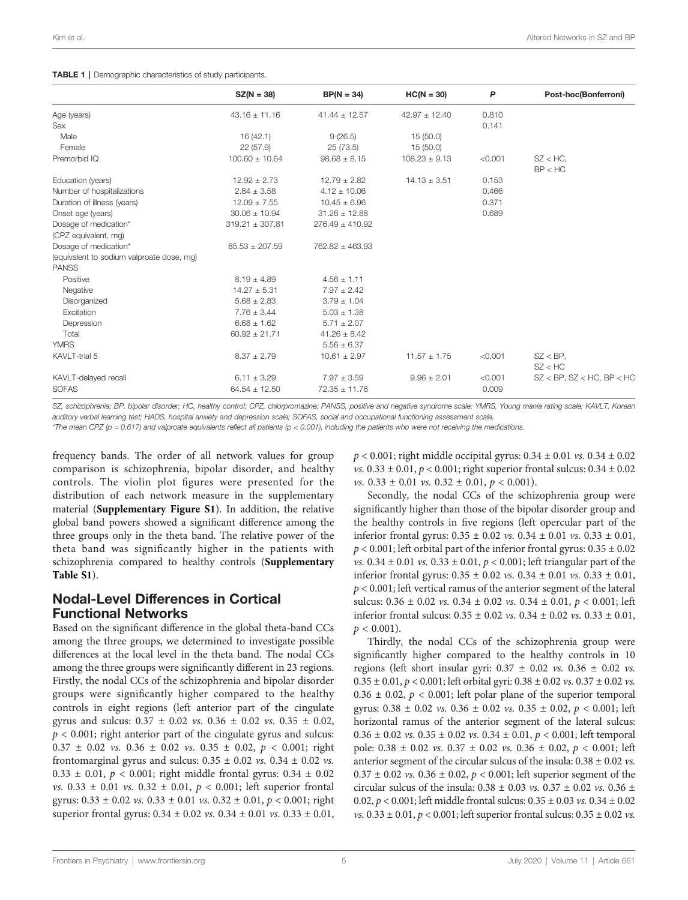#### <span id="page-4-0"></span>TABLE 1 | Demographic characteristics of study participants.

|                                           | $SZ(N = 38)$        | $BP(N = 34)$        | $HC(N = 30)$      | $\mathsf{P}$ | Post-hoc(Bonferroni)            |
|-------------------------------------------|---------------------|---------------------|-------------------|--------------|---------------------------------|
| Age (years)                               | $43.16 \pm 11.16$   | $41.44 \pm 12.57$   | $42.97 \pm 12.40$ | 0.810        |                                 |
| Sex                                       |                     |                     |                   | 0.141        |                                 |
| Male                                      | 16(42.1)            | 9(26.5)             | 15 (50.0)         |              |                                 |
| Female                                    | 22(57.9)            | 25(73.5)            | 15 (50.0)         |              |                                 |
| Premorbid IQ                              | $100.60 \pm 10.64$  | $98.68 \pm 8.15$    | $108.23 \pm 9.13$ | < 0.001      | $SZ < HC$ ,<br>BP < HC          |
| Education (years)                         | $12.92 \pm 2.73$    | $12.79 \pm 2.82$    | $14.13 \pm 3.51$  | 0.153        |                                 |
| Number of hospitalizations                | $2.84 \pm 3.58$     | $4.12 \pm 10.06$    |                   | 0.466        |                                 |
| Duration of illness (years)               | $12.09 \pm 7.55$    | $10.45 \pm 6.96$    |                   | 0.371        |                                 |
| Onset age (years)                         | $30.06 \pm 10.94$   | $31.26 \pm 12.88$   |                   | 0.689        |                                 |
| Dosage of medication*                     | $319.21 \pm 307.81$ | $276.49 \pm 410.92$ |                   |              |                                 |
| (CPZ equivalent, mg)                      |                     |                     |                   |              |                                 |
| Dosage of medication*                     | $85.53 \pm 207.59$  | 762.82 ± 463.93     |                   |              |                                 |
| (equivalent to sodium valproate dose, mg) |                     |                     |                   |              |                                 |
| <b>PANSS</b>                              |                     |                     |                   |              |                                 |
| Positive                                  | $8.19 \pm 4.89$     | $4.56 \pm 1.11$     |                   |              |                                 |
| Negative                                  | $14.27 \pm 5.31$    | $7.97 \pm 2.42$     |                   |              |                                 |
| Disorganized                              | $5.68 \pm 2.83$     | $3.79 \pm 1.04$     |                   |              |                                 |
| Excitation                                | $7.76 \pm 3.44$     | $5.03 \pm 1.38$     |                   |              |                                 |
| Depression                                | $6.68 \pm 1.62$     | $5.71 \pm 2.07$     |                   |              |                                 |
| Total                                     | $60.92 \pm 21.71$   | $41.26 \pm 8.42$    |                   |              |                                 |
| <b>YMRS</b>                               |                     | $5.56 \pm 6.37$     |                   |              |                                 |
| KAVLT-trial 5                             | $8.37 \pm 2.79$     | $10.61 \pm 2.97$    | $11.57 \pm 1.75$  | < 0.001      | $SZ < BP$ ,<br>SZ < HC          |
| KAVLT-delayed recall                      | $6.11 \pm 3.29$     | $7.97 \pm 3.59$     | $9.96 \pm 2.01$   | < 0.001      | $SZ <$ BP, $SZ <$ HC, BP $<$ HC |
| <b>SOFAS</b>                              | $64.54 \pm 12.50$   | $72.35 \pm 11.76$   |                   | 0.009        |                                 |

SZ, schizophrenia; BP, bipolar disorder; HC, healthy control; CPZ, chlorpromazine; PANSS, positive and negative syndrome scale; YMRS, Young mania rating scale; KAVLT, Korean auditory verbal learning test; HADS, hospital anxiety and depression scale; SOFAS, social and occupational functioning assessment scale.

 $*$ The mean CPZ (p = 0.617) and valproate equivalents reflect all patients (p < 0.001), including the patients who were not receiving the medications.

frequency bands. The order of all network values for group comparison is schizophrenia, bipolar disorder, and healthy controls. The violin plot figures were presented for the distribution of each network measure in the supplementary material ([Supplementary Figure S1](#page-9-0)). In addition, the relative global band powers showed a significant difference among the three groups only in the theta band. The relative power of the theta band was significantly higher in the patients with schizophrenia compared to healthy controls ([Supplementary](#page-9-0) [Table S1](#page-9-0)).

## Nodal-Level Differences in Cortical Functional Networks

Based on the significant difference in the global theta-band CCs among the three groups, we determined to investigate possible differences at the local level in the theta band. The nodal CCs among the three groups were significantly different in 23 regions. Firstly, the nodal CCs of the schizophrenia and bipolar disorder groups were significantly higher compared to the healthy controls in eight regions (left anterior part of the cingulate gyrus and sulcus:  $0.37 \pm 0.02$  vs.  $0.36 \pm 0.02$  vs.  $0.35 \pm 0.02$ ,  $p < 0.001$ ; right anterior part of the cingulate gyrus and sulcus:  $0.37 \pm 0.02$  vs.  $0.36 \pm 0.02$  vs.  $0.35 \pm 0.02$ ,  $p < 0.001$ ; right frontomarginal gyrus and sulcus:  $0.35 \pm 0.02$  *vs.*  $0.34 \pm 0.02$  *vs.* 0.33  $\pm$  0.01,  $p < 0.001$ ; right middle frontal gyrus: 0.34  $\pm$  0.02 vs.  $0.33 \pm 0.01$  vs.  $0.32 \pm 0.01$ ,  $p < 0.001$ ; left superior frontal gyrus:  $0.33 \pm 0.02$  vs.  $0.33 \pm 0.01$  vs.  $0.32 \pm 0.01$ ,  $p < 0.001$ ; right superior frontal gyrus: 0.34 ± 0.02 vs. 0.34 ± 0.01 vs. 0.33 ± 0.01,  $p < 0.001$ ; right middle occipital gyrus:  $0.34 \pm 0.01$  vs.  $0.34 \pm 0.02$ vs.  $0.33 \pm 0.01$ ,  $p < 0.001$ ; right superior frontal sulcus:  $0.34 \pm 0.02$ vs.  $0.33 \pm 0.01$  vs.  $0.32 \pm 0.01$ ,  $p < 0.001$ ).

Secondly, the nodal CCs of the schizophrenia group were significantly higher than those of the bipolar disorder group and the healthy controls in five regions (left opercular part of the inferior frontal gyrus:  $0.35 \pm 0.02$  *vs.*  $0.34 \pm 0.01$  *vs.*  $0.33 \pm 0.01$ ,  $p < 0.001$ ; left orbital part of the inferior frontal gyrus:  $0.35 \pm 0.02$ vs.  $0.34 \pm 0.01$  vs.  $0.33 \pm 0.01$ ,  $p < 0.001$ ; left triangular part of the inferior frontal gyrus:  $0.35 \pm 0.02$  *vs.*  $0.34 \pm 0.01$  *vs.*  $0.33 \pm 0.01$ ,  $p < 0.001$ ; left vertical ramus of the anterior segment of the lateral sulcus:  $0.36 \pm 0.02$  *vs.*  $0.34 \pm 0.02$  *vs.*  $0.34 \pm 0.01$ ,  $p < 0.001$ ; left inferior frontal sulcus:  $0.35 \pm 0.02$  *vs.*  $0.34 \pm 0.02$  *vs.*  $0.33 \pm 0.01$ ,  $p < 0.001$ ).

Thirdly, the nodal CCs of the schizophrenia group were significantly higher compared to the healthy controls in 10 regions (left short insular gyri:  $0.37 \pm 0.02$  vs.  $0.36 \pm 0.02$  vs.  $0.35 \pm 0.01$ ,  $p < 0.001$ ; left orbital gyri:  $0.38 \pm 0.02$  vs.  $0.37 \pm 0.02$  vs.  $0.36 \pm 0.02$ ,  $p < 0.001$ ; left polar plane of the superior temporal gyrus:  $0.38 \pm 0.02$  *vs.*  $0.36 \pm 0.02$  *vs.*  $0.35 \pm 0.02$ ,  $p < 0.001$ ; left horizontal ramus of the anterior segment of the lateral sulcus:  $0.36 \pm 0.02$  vs.  $0.35 \pm 0.02$  vs.  $0.34 \pm 0.01$ ,  $p < 0.001$ ; left temporal pole:  $0.38 \pm 0.02$  *vs.*  $0.37 \pm 0.02$  *vs.*  $0.36 \pm 0.02$ ,  $p < 0.001$ ; left anterior segment of the circular sulcus of the insula:  $0.38 \pm 0.02$  *vs.*  $0.37 \pm 0.02$  *vs.*  $0.36 \pm 0.02$ ,  $p < 0.001$ ; left superior segment of the circular sulcus of the insula:  $0.38 \pm 0.03$  vs.  $0.37 \pm 0.02$  vs.  $0.36 \pm$ 0.02,  $p < 0.001$ ; left middle frontal sulcus:  $0.35 \pm 0.03$  vs.  $0.34 \pm 0.02$ *vs.*  $0.33 \pm 0.01$ ,  $p < 0.001$ ; left superior frontal sulcus:  $0.35 \pm 0.02$  *vs.*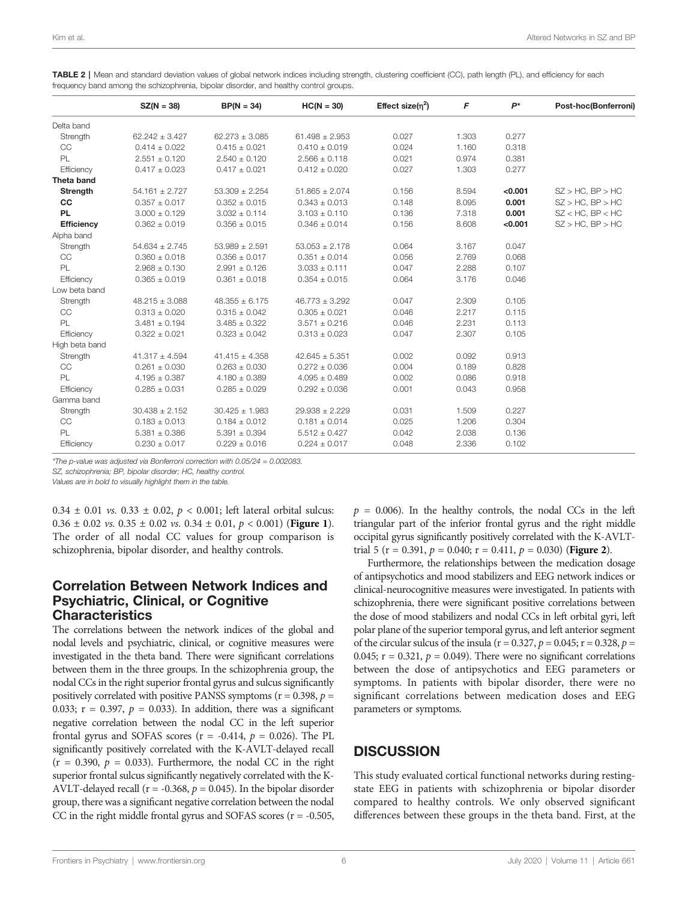| Delta band<br>0.277<br>Strength<br>$62.242 \pm 3.427$<br>$62.273 \pm 3.085$<br>$61.498 \pm 2.953$<br>0.027<br>1.303<br>CC<br>$0.415 \pm 0.021$<br>$0.410 \pm 0.019$<br>0.024<br>1.160<br>0.318<br>$0.414 \pm 0.022$<br>PL<br>0.381<br>$2.551 \pm 0.120$<br>$2.540 \pm 0.120$<br>$2.566 \pm 0.118$<br>0.021<br>0.974<br>Efficiency<br>0.027<br>0.277<br>$0.417 \pm 0.023$<br>$0.417 \pm 0.021$<br>$0.412 \pm 0.020$<br>1.303<br><b>Theta band</b> |                       |
|--------------------------------------------------------------------------------------------------------------------------------------------------------------------------------------------------------------------------------------------------------------------------------------------------------------------------------------------------------------------------------------------------------------------------------------------------|-----------------------|
|                                                                                                                                                                                                                                                                                                                                                                                                                                                  |                       |
|                                                                                                                                                                                                                                                                                                                                                                                                                                                  |                       |
|                                                                                                                                                                                                                                                                                                                                                                                                                                                  |                       |
|                                                                                                                                                                                                                                                                                                                                                                                                                                                  |                       |
|                                                                                                                                                                                                                                                                                                                                                                                                                                                  |                       |
|                                                                                                                                                                                                                                                                                                                                                                                                                                                  |                       |
| 0.156<br>< 0.001<br><b>Strength</b><br>$54.161 \pm 2.727$<br>$53.309 \pm 2.254$<br>$51.865 \pm 2.074$<br>8.594                                                                                                                                                                                                                                                                                                                                   | $SZ > HC$ , $BP > HC$ |
| cc<br>0.148<br>0.001<br>$0.357 \pm 0.017$<br>$0.352 \pm 0.015$<br>$0.343 \pm 0.013$<br>8.095                                                                                                                                                                                                                                                                                                                                                     | $SZ > HC$ , $BP > HC$ |
| <b>PL</b><br>$3.000 \pm 0.129$<br>$3.032 \pm 0.114$<br>0.001<br>$3.103 \pm 0.110$<br>0.136<br>7.318                                                                                                                                                                                                                                                                                                                                              | $SZ <$ HC, BP $<$ HC  |
| 8.608<br>< 0.001<br><b>Efficiency</b><br>$0.362 \pm 0.019$<br>$0.356 \pm 0.015$<br>$0.346 \pm 0.014$<br>0.156                                                                                                                                                                                                                                                                                                                                    | $SZ > HC$ , $BP > HC$ |
| Alpha band                                                                                                                                                                                                                                                                                                                                                                                                                                       |                       |
| $53.989 \pm 2.591$<br>$53.053 \pm 2.178$<br>0.064<br>3.167<br>0.047<br>Strength<br>$54.634 \pm 2.745$                                                                                                                                                                                                                                                                                                                                            |                       |
| CC<br>0.068<br>$0.360 \pm 0.018$<br>$0.356 \pm 0.017$<br>$0.351 \pm 0.014$<br>0.056<br>2.769                                                                                                                                                                                                                                                                                                                                                     |                       |
| PL<br>0.107<br>$2.968 \pm 0.130$<br>$2.991 \pm 0.126$<br>$3.033 \pm 0.111$<br>0.047<br>2.288                                                                                                                                                                                                                                                                                                                                                     |                       |
| Efficiency<br>0.046<br>$0.365 \pm 0.019$<br>$0.361 \pm 0.018$<br>$0.354 \pm 0.015$<br>0.064<br>3.176                                                                                                                                                                                                                                                                                                                                             |                       |
| Low beta band                                                                                                                                                                                                                                                                                                                                                                                                                                    |                       |
| 0.105<br>$48.215 \pm 3.088$<br>$48.355 \pm 6.175$<br>$46.773 \pm 3.292$<br>0.047<br>2.309<br>Strength                                                                                                                                                                                                                                                                                                                                            |                       |
| CC<br>$0.313 \pm 0.020$<br>$0.315 \pm 0.042$<br>$0.305 \pm 0.021$<br>0.046<br>2.217<br>0.115                                                                                                                                                                                                                                                                                                                                                     |                       |
| PL<br>$3.571 \pm 0.216$<br>2.231<br>0.113<br>$3.481 \pm 0.194$<br>$3.485 \pm 0.322$<br>0.046                                                                                                                                                                                                                                                                                                                                                     |                       |
| Efficiency<br>$0.322 \pm 0.021$<br>$0.323 \pm 0.042$<br>$0.313 \pm 0.023$<br>0.047<br>2.307<br>0.105                                                                                                                                                                                                                                                                                                                                             |                       |
| High beta band                                                                                                                                                                                                                                                                                                                                                                                                                                   |                       |
| 0.002<br>0.913<br>$41.317 \pm 4.594$<br>$42.645 \pm 5.351$<br>0.092<br>Strength<br>$41.415 \pm 4.358$                                                                                                                                                                                                                                                                                                                                            |                       |
| CC<br>$0.261 \pm 0.030$<br>0.004<br>0.189<br>0.828<br>$0.263 \pm 0.030$<br>$0.272 \pm 0.036$                                                                                                                                                                                                                                                                                                                                                     |                       |
| PL<br>0.918<br>$4.195 \pm 0.387$<br>$4.180 \pm 0.389$<br>$4.095 \pm 0.489$<br>0.002<br>0.086                                                                                                                                                                                                                                                                                                                                                     |                       |
| Efficiency<br>0.001<br>0.043<br>0.958<br>$0.285 \pm 0.031$<br>$0.285 \pm 0.029$<br>$0.292 \pm 0.036$                                                                                                                                                                                                                                                                                                                                             |                       |
| Gamma band                                                                                                                                                                                                                                                                                                                                                                                                                                       |                       |
| 0.227<br>$30.438 \pm 2.152$<br>$30.425 \pm 1.983$<br>$29.938 \pm 2.229$<br>0.031<br>1.509<br>Strength                                                                                                                                                                                                                                                                                                                                            |                       |
| 0.304<br>CC<br>$0.183 \pm 0.013$<br>$0.184 \pm 0.012$<br>$0.181 \pm 0.014$<br>0.025<br>1.206                                                                                                                                                                                                                                                                                                                                                     |                       |
| PL<br>0.042<br>0.136<br>$5.381 \pm 0.386$<br>$5.391 \pm 0.394$<br>$5.512 \pm 0.427$<br>2.038                                                                                                                                                                                                                                                                                                                                                     |                       |
| 0.102<br>Efficiency<br>$0.230 \pm 0.017$<br>$0.229 \pm 0.016$<br>$0.224 \pm 0.017$<br>0.048<br>2.336                                                                                                                                                                                                                                                                                                                                             |                       |

<span id="page-5-0"></span>TABLE 2 | Mean and standard deviation values of global network indices including strength, clustering coefficient (CC), path length (PL), and efficiency for each frequency band among the schizophrenia, bipolar disorder, and healthy control groups.

\*The p-value was adjusted via Bonferroni correction with 0.05/24 = 0.002083.

SZ, schizophrenia; BP, bipolar disorder; HC, healthy control.

Values are in bold to visually highlight them in the table.

0.34  $\pm$  0.01 *vs.* 0.33  $\pm$  0.02,  $p < 0.001$ ; left lateral orbital sulcus:  $0.36 \pm 0.02$  vs.  $0.35 \pm 0.02$  vs.  $0.34 \pm 0.01$ ,  $p < 0.001$ ) ([Figure 1](#page-6-0)). The order of all nodal CC values for group comparison is schizophrenia, bipolar disorder, and healthy controls.

### Correlation Between Network Indices and Psychiatric, Clinical, or Cognitive **Characteristics**

The correlations between the network indices of the global and nodal levels and psychiatric, clinical, or cognitive measures were investigated in the theta band. There were significant correlations between them in the three groups. In the schizophrenia group, the nodal CCs in the right superior frontal gyrus and sulcus significantly positively correlated with positive PANSS symptoms ( $r = 0.398$ ,  $p =$ 0.033;  $r = 0.397$ ,  $p = 0.033$ ). In addition, there was a significant negative correlation between the nodal CC in the left superior frontal gyrus and SOFAS scores ( $r = -0.414$ ,  $p = 0.026$ ). The PL significantly positively correlated with the K-AVLT-delayed recall  $(r = 0.390, p = 0.033)$ . Furthermore, the nodal CC in the right superior frontal sulcus significantly negatively correlated with the K-AVLT-delayed recall ( $r = -0.368$ ,  $p = 0.045$ ). In the bipolar disorder group, there was a significant negative correlation between the nodal CC in the right middle frontal gyrus and SOFAS scores  $(r = -0.505,$ 

 $p = 0.006$ ). In the healthy controls, the nodal CCs in the left triangular part of the inferior frontal gyrus and the right middle occipital gyrus significantly positively correlated with the K-AVLTtrial 5 (r = 0.391,  $p = 0.040$ ; r = 0.411,  $p = 0.030$ ) (**[Figure 2](#page-7-0)**).

Furthermore, the relationships between the medication dosage of antipsychotics and mood stabilizers and EEG network indices or clinical-neurocognitive measures were investigated. In patients with schizophrenia, there were significant positive correlations between the dose of mood stabilizers and nodal CCs in left orbital gyri, left polar plane of the superior temporal gyrus, and left anterior segment of the circular sulcus of the insula ( $r = 0.327$ ,  $p = 0.045$ ;  $r = 0.328$ ,  $p =$ 0.045;  $r = 0.321$ ,  $p = 0.049$ ). There were no significant correlations between the dose of antipsychotics and EEG parameters or symptoms. In patients with bipolar disorder, there were no significant correlations between medication doses and EEG parameters or symptoms.

# **DISCUSSION**

This study evaluated cortical functional networks during restingstate EEG in patients with schizophrenia or bipolar disorder compared to healthy controls. We only observed significant differences between these groups in the theta band. First, at the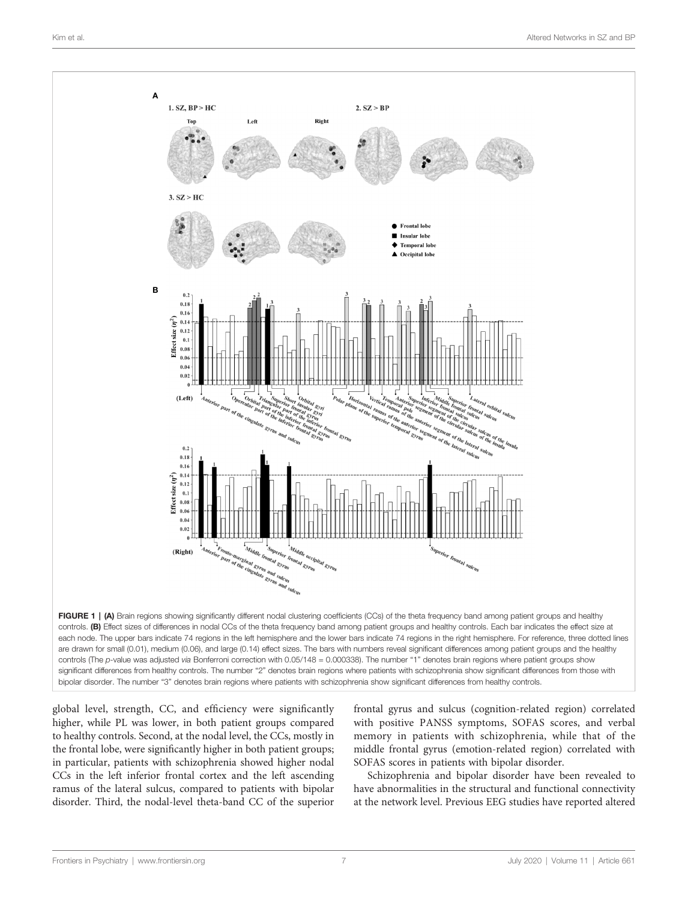<span id="page-6-0"></span>

global level, strength, CC, and efficiency were significantly higher, while PL was lower, in both patient groups compared to healthy controls. Second, at the nodal level, the CCs, mostly in the frontal lobe, were significantly higher in both patient groups; in particular, patients with schizophrenia showed higher nodal CCs in the left inferior frontal cortex and the left ascending ramus of the lateral sulcus, compared to patients with bipolar disorder. Third, the nodal-level theta-band CC of the superior

frontal gyrus and sulcus (cognition-related region) correlated with positive PANSS symptoms, SOFAS scores, and verbal memory in patients with schizophrenia, while that of the middle frontal gyrus (emotion-related region) correlated with SOFAS scores in patients with bipolar disorder.

Schizophrenia and bipolar disorder have been revealed to have abnormalities in the structural and functional connectivity at the network level. Previous EEG studies have reported altered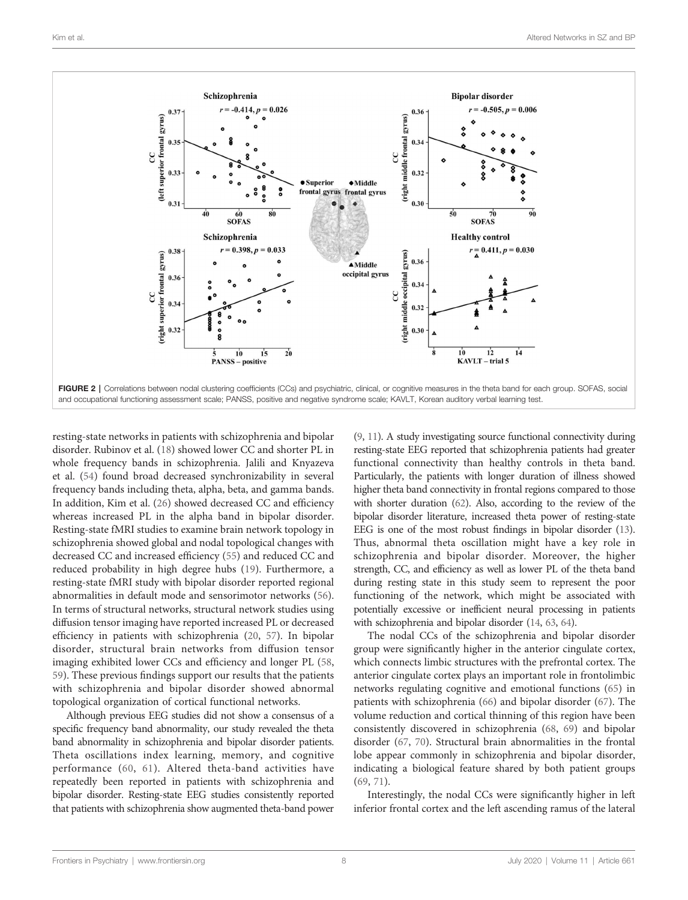<span id="page-7-0"></span>

resting-state networks in patients with schizophrenia and bipolar disorder. Rubinov et al. [\(18](#page-9-0)) showed lower CC and shorter PL in whole frequency bands in schizophrenia. Jalili and Knyazeva et al. [\(54](#page-10-0)) found broad decreased synchronizability in several frequency bands including theta, alpha, beta, and gamma bands. In addition, Kim et al. ([26\)](#page-10-0) showed decreased CC and efficiency whereas increased PL in the alpha band in bipolar disorder. Resting-state fMRI studies to examine brain network topology in schizophrenia showed global and nodal topological changes with decreased CC and increased efficiency ([55\)](#page-10-0) and reduced CC and reduced probability in high degree hubs ([19\)](#page-9-0). Furthermore, a resting-state fMRI study with bipolar disorder reported regional abnormalities in default mode and sensorimotor networks ([56\)](#page-10-0). In terms of structural networks, structural network studies using diffusion tensor imaging have reported increased PL or decreased efficiency in patients with schizophrenia [\(20,](#page-9-0) [57](#page-10-0)). In bipolar disorder, structural brain networks from diffusion tensor imaging exhibited lower CCs and efficiency and longer PL ([58](#page-10-0), [59](#page-10-0)). These previous findings support our results that the patients with schizophrenia and bipolar disorder showed abnormal topological organization of cortical functional networks.

Although previous EEG studies did not show a consensus of a specific frequency band abnormality, our study revealed the theta band abnormality in schizophrenia and bipolar disorder patients. Theta oscillations index learning, memory, and cognitive performance ([60,](#page-10-0) [61\)](#page-10-0). Altered theta-band activities have repeatedly been reported in patients with schizophrenia and bipolar disorder. Resting-state EEG studies consistently reported that patients with schizophrenia show augmented theta-band power

[\(9,](#page-9-0) [11\)](#page-9-0). A study investigating source functional connectivity during resting-state EEG reported that schizophrenia patients had greater functional connectivity than healthy controls in theta band. Particularly, the patients with longer duration of illness showed higher theta band connectivity in frontal regions compared to those with shorter duration [\(62\)](#page-10-0). Also, according to the review of the bipolar disorder literature, increased theta power of resting-state EEG is one of the most robust findings in bipolar disorder [\(13\)](#page-9-0). Thus, abnormal theta oscillation might have a key role in schizophrenia and bipolar disorder. Moreover, the higher strength, CC, and efficiency as well as lower PL of the theta band during resting state in this study seem to represent the poor functioning of the network, which might be associated with potentially excessive or inefficient neural processing in patients with schizophrenia and bipolar disorder ([14](#page-9-0), [63,](#page-10-0) [64](#page-10-0)).

The nodal CCs of the schizophrenia and bipolar disorder group were significantly higher in the anterior cingulate cortex, which connects limbic structures with the prefrontal cortex. The anterior cingulate cortex plays an important role in frontolimbic networks regulating cognitive and emotional functions [\(65](#page-11-0)) in patients with schizophrenia ([66\)](#page-11-0) and bipolar disorder ([67\)](#page-11-0). The volume reduction and cortical thinning of this region have been consistently discovered in schizophrenia [\(68](#page-11-0), [69\)](#page-11-0) and bipolar disorder ([67,](#page-11-0) [70](#page-11-0)). Structural brain abnormalities in the frontal lobe appear commonly in schizophrenia and bipolar disorder, indicating a biological feature shared by both patient groups [\(69,](#page-11-0) [71\)](#page-11-0).

Interestingly, the nodal CCs were significantly higher in left inferior frontal cortex and the left ascending ramus of the lateral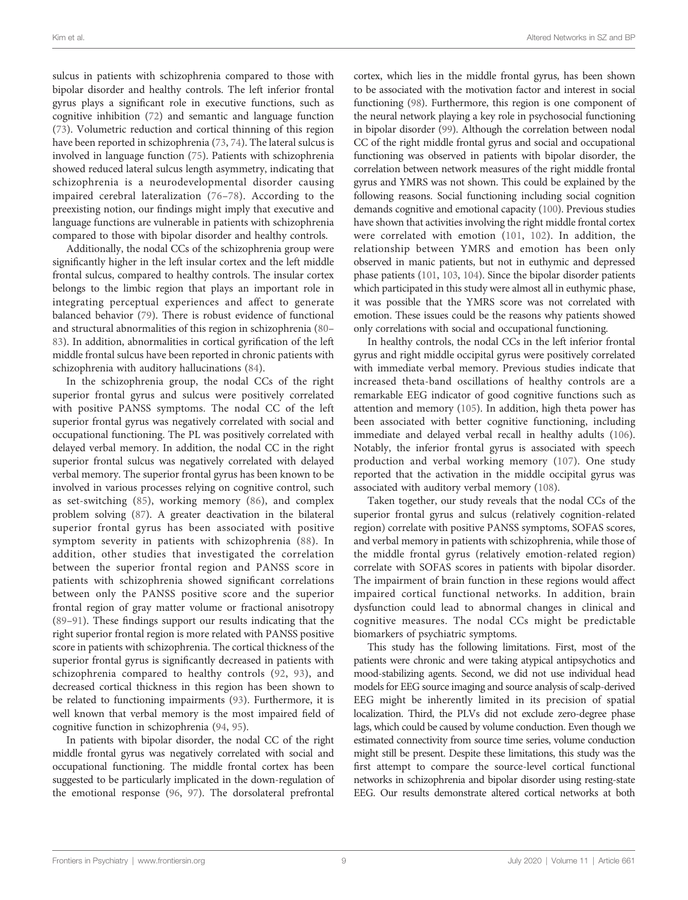sulcus in patients with schizophrenia compared to those with bipolar disorder and healthy controls. The left inferior frontal gyrus plays a significant role in executive functions, such as cognitive inhibition ([72\)](#page-11-0) and semantic and language function ([73\)](#page-11-0). Volumetric reduction and cortical thinning of this region have been reported in schizophrenia ([73,](#page-11-0) [74\)](#page-11-0). The lateral sulcus is involved in language function ([75](#page-11-0)). Patients with schizophrenia showed reduced lateral sulcus length asymmetry, indicating that schizophrenia is a neurodevelopmental disorder causing impaired cerebral lateralization ([76](#page-11-0)–[78\)](#page-11-0). According to the preexisting notion, our findings might imply that executive and language functions are vulnerable in patients with schizophrenia compared to those with bipolar disorder and healthy controls.

Additionally, the nodal CCs of the schizophrenia group were significantly higher in the left insular cortex and the left middle frontal sulcus, compared to healthy controls. The insular cortex belongs to the limbic region that plays an important role in integrating perceptual experiences and affect to generate balanced behavior [\(79](#page-11-0)). There is robust evidence of functional and structural abnormalities of this region in schizophrenia [\(80](#page-11-0)– [83](#page-11-0)). In addition, abnormalities in cortical gyrification of the left middle frontal sulcus have been reported in chronic patients with schizophrenia with auditory hallucinations [\(84](#page-11-0)).

In the schizophrenia group, the nodal CCs of the right superior frontal gyrus and sulcus were positively correlated with positive PANSS symptoms. The nodal CC of the left superior frontal gyrus was negatively correlated with social and occupational functioning. The PL was positively correlated with delayed verbal memory. In addition, the nodal CC in the right superior frontal sulcus was negatively correlated with delayed verbal memory. The superior frontal gyrus has been known to be involved in various processes relying on cognitive control, such as set-switching [\(85\)](#page-11-0), working memory ([86\)](#page-11-0), and complex problem solving [\(87](#page-11-0)). A greater deactivation in the bilateral superior frontal gyrus has been associated with positive symptom severity in patients with schizophrenia [\(88\)](#page-11-0). In addition, other studies that investigated the correlation between the superior frontal region and PANSS score in patients with schizophrenia showed significant correlations between only the PANSS positive score and the superior frontal region of gray matter volume or fractional anisotropy ([89](#page-11-0)–[91\)](#page-11-0). These findings support our results indicating that the right superior frontal region is more related with PANSS positive score in patients with schizophrenia. The cortical thickness of the superior frontal gyrus is significantly decreased in patients with schizophrenia compared to healthy controls ([92](#page-11-0), [93\)](#page-11-0), and decreased cortical thickness in this region has been shown to be related to functioning impairments ([93\)](#page-11-0). Furthermore, it is well known that verbal memory is the most impaired field of cognitive function in schizophrenia ([94,](#page-11-0) [95](#page-11-0)).

In patients with bipolar disorder, the nodal CC of the right middle frontal gyrus was negatively correlated with social and occupational functioning. The middle frontal cortex has been suggested to be particularly implicated in the down-regulation of the emotional response [\(96,](#page-11-0) [97\)](#page-11-0). The dorsolateral prefrontal

cortex, which lies in the middle frontal gyrus, has been shown to be associated with the motivation factor and interest in social functioning ([98\)](#page-11-0). Furthermore, this region is one component of the neural network playing a key role in psychosocial functioning in bipolar disorder ([99\)](#page-11-0). Although the correlation between nodal CC of the right middle frontal gyrus and social and occupational functioning was observed in patients with bipolar disorder, the correlation between network measures of the right middle frontal gyrus and YMRS was not shown. This could be explained by the following reasons. Social functioning including social cognition demands cognitive and emotional capacity [\(100\)](#page-11-0). Previous studies have shown that activities involving the right middle frontal cortex were correlated with emotion ([101,](#page-11-0) [102](#page-11-0)). In addition, the relationship between YMRS and emotion has been only observed in manic patients, but not in euthymic and depressed phase patients ([101](#page-11-0), [103](#page-12-0), [104](#page-12-0)). Since the bipolar disorder patients which participated in this study were almost all in euthymic phase, it was possible that the YMRS score was not correlated with emotion. These issues could be the reasons why patients showed only correlations with social and occupational functioning.

In healthy controls, the nodal CCs in the left inferior frontal gyrus and right middle occipital gyrus were positively correlated with immediate verbal memory. Previous studies indicate that increased theta-band oscillations of healthy controls are a remarkable EEG indicator of good cognitive functions such as attention and memory ([105](#page-12-0)). In addition, high theta power has been associated with better cognitive functioning, including immediate and delayed verbal recall in healthy adults ([106\)](#page-12-0). Notably, the inferior frontal gyrus is associated with speech production and verbal working memory [\(107\)](#page-12-0). One study reported that the activation in the middle occipital gyrus was associated with auditory verbal memory ([108](#page-12-0)).

Taken together, our study reveals that the nodal CCs of the superior frontal gyrus and sulcus (relatively cognition-related region) correlate with positive PANSS symptoms, SOFAS scores, and verbal memory in patients with schizophrenia, while those of the middle frontal gyrus (relatively emotion-related region) correlate with SOFAS scores in patients with bipolar disorder. The impairment of brain function in these regions would affect impaired cortical functional networks. In addition, brain dysfunction could lead to abnormal changes in clinical and cognitive measures. The nodal CCs might be predictable biomarkers of psychiatric symptoms.

This study has the following limitations. First, most of the patients were chronic and were taking atypical antipsychotics and mood-stabilizing agents. Second, we did not use individual head models for EEG source imaging and source analysis of scalp-derived EEG might be inherently limited in its precision of spatial localization. Third, the PLVs did not exclude zero-degree phase lags, which could be caused by volume conduction. Even though we estimated connectivity from source time series, volume conduction might still be present. Despite these limitations, this study was the first attempt to compare the source-level cortical functional networks in schizophrenia and bipolar disorder using resting-state EEG. Our results demonstrate altered cortical networks at both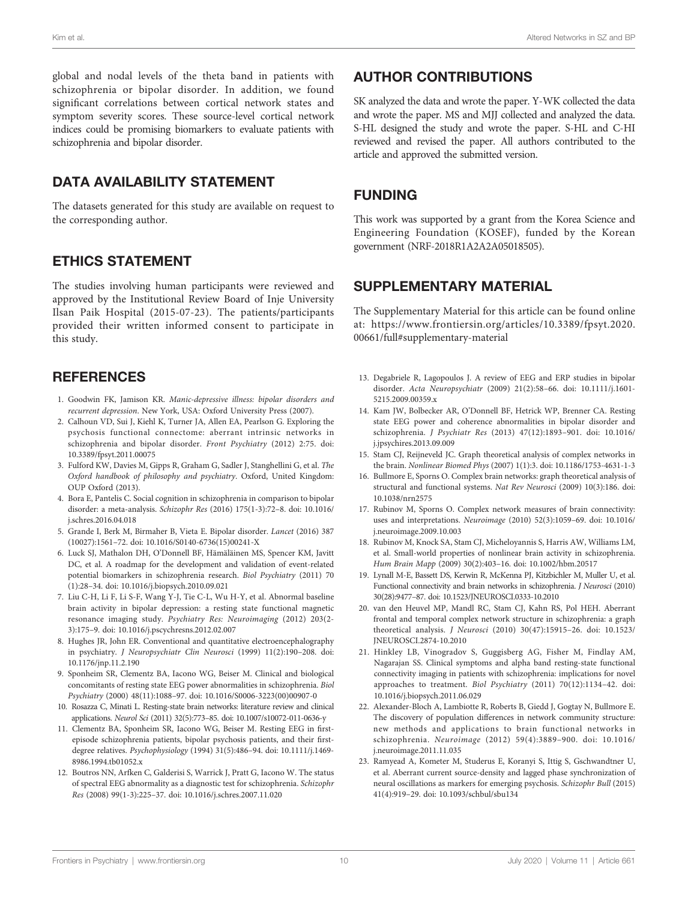<span id="page-9-0"></span>global and nodal levels of the theta band in patients with schizophrenia or bipolar disorder. In addition, we found significant correlations between cortical network states and symptom severity scores. These source-level cortical network indices could be promising biomarkers to evaluate patients with schizophrenia and bipolar disorder.

# DATA AVAILABILITY STATEMENT

The datasets generated for this study are available on request to the corresponding author.

# ETHICS STATEMENT

The studies involving human participants were reviewed and approved by the Institutional Review Board of Inje University Ilsan Paik Hospital (2015-07-23). The patients/participants provided their written informed consent to participate in this study.

# **REFERENCES**

- 1. Goodwin FK, Jamison KR. Manic-depressive illness: bipolar disorders and recurrent depression. New York, USA: Oxford University Press (2007).
- 2. Calhoun VD, Sui J, Kiehl K, Turner JA, Allen EA, Pearlson G. Exploring the psychosis functional connectome: aberrant intrinsic networks in schizophrenia and bipolar disorder. Front Psychiatry (2012) 2:75. doi: [10.3389/fpsyt.2011.00075](https://doi.org/10.3389/fpsyt.2011.00075)
- 3. Fulford KW, Davies M, Gipps R, Graham G, Sadler J, Stanghellini G, et al. The Oxford handbook of philosophy and psychiatry. Oxford, United Kingdom: OUP Oxford (2013).
- 4. Bora E, Pantelis C. Social cognition in schizophrenia in comparison to bipolar disorder: a meta-analysis. Schizophr Res (2016) 175(1-3):72–8. doi: [10.1016/](https://doi.org/10.1016/j.schres.2016.04.018) [j.schres.2016.04.018](https://doi.org/10.1016/j.schres.2016.04.018)
- 5. Grande I, Berk M, Birmaher B, Vieta E. Bipolar disorder. Lancet (2016) 387 (10027):1561–72. doi: [10.1016/S0140-6736\(15\)00241-X](https://doi.org/10.1016/S0140-6736(15)00241-X)
- 6. Luck SJ, Mathalon DH, O'Donnell BF, Hämäläinen MS, Spencer KM, Javitt DC, et al. A roadmap for the development and validation of event-related potential biomarkers in schizophrenia research. Biol Psychiatry (2011) 70 (1):28–34. doi: [10.1016/j.biopsych.2010.09.021](https://doi.org/10.1016/j.biopsych.2010.09.021)
- 7. Liu C-H, Li F, Li S-F, Wang Y-J, Tie C-L, Wu H-Y, et al. Abnormal baseline brain activity in bipolar depression: a resting state functional magnetic resonance imaging study. Psychiatry Res: Neuroimaging (2012) 203(2- 3):175–9. doi: [10.1016/j.pscychresns.2012.02.007](https://doi.org/10.1016/j.pscychresns.2012.02.007)
- 8. Hughes JR, John ER. Conventional and quantitative electroencephalography in psychiatry. J Neuropsychiatr Clin Neurosci (1999) 11(2):190–208. doi: [10.1176/jnp.11.2.190](https://doi.org/10.1176/jnp.11.2.190)
- 9. Sponheim SR, Clementz BA, Iacono WG, Beiser M. Clinical and biological concomitants of resting state EEG power abnormalities in schizophrenia. Biol Psychiatry (2000) 48(11):1088–97. doi: [10.1016/S0006-3223\(00\)00907-0](https://doi.org/10.1016/S0006-3223(00)00907-0)
- 10. Rosazza C, Minati L. Resting-state brain networks: literature review and clinical applications. Neurol Sci (2011) 32(5):773–85. doi: [10.1007/s10072-011-0636-y](https://doi.org/10.1007/s10072-011-0636-y)
- 11. Clementz BA, Sponheim SR, Iacono WG, Beiser M. Resting EEG in firstepisode schizophrenia patients, bipolar psychosis patients, and their firstdegree relatives. Psychophysiology (1994) 31(5):486–94. doi: [10.1111/j.1469-](https://doi.org/10.1111/j.1469-8986.1994.tb01052.x) [8986.1994.tb01052.x](https://doi.org/10.1111/j.1469-8986.1994.tb01052.x)
- 12. Boutros NN, Arfken C, Galderisi S, Warrick J, Pratt G, Iacono W. The status of spectral EEG abnormality as a diagnostic test for schizophrenia. Schizophr Res (2008) 99(1-3):225–37. doi: [10.1016/j.schres.2007.11.020](https://doi.org/10.1016/j.schres.2007.11.020)

# AUTHOR CONTRIBUTIONS

SK analyzed the data and wrote the paper. Y-WK collected the data and wrote the paper. MS and MJJ collected and analyzed the data. S-HL designed the study and wrote the paper. S-HL and C-HI reviewed and revised the paper. All authors contributed to the article and approved the submitted version.

# FUNDING

This work was supported by a grant from the Korea Science and Engineering Foundation (KOSEF), funded by the Korean government (NRF-2018R1A2A2A05018505).

# SUPPLEMENTARY MATERIAL

The Supplementary Material for this article can be found online at: [https://www.frontiersin.org/articles/10.3389/fpsyt.2020.](https://www.frontiersin.org/articles/10.3389/fpsyt.2020.00661/full#supplementary-material) [00661/full#supplementary-material](https://www.frontiersin.org/articles/10.3389/fpsyt.2020.00661/full#supplementary-material)

- 13. Degabriele R, Lagopoulos J. A review of EEG and ERP studies in bipolar disorder. Acta Neuropsychiatr (2009) 21(2):58–66. doi: [10.1111/j.1601-](https://doi.org/10.1111/j.1601-5215.2009.00359.x) [5215.2009.00359.x](https://doi.org/10.1111/j.1601-5215.2009.00359.x)
- 14. Kam JW, Bolbecker AR, O'Donnell BF, Hetrick WP, Brenner CA. Resting state EEG power and coherence abnormalities in bipolar disorder and schizophrenia. J Psychiatr Res (2013) 47(12):1893–901. doi: [10.1016/](https://doi.org/10.1016/j.jpsychires.2013.09.009) [j.jpsychires.2013.09.009](https://doi.org/10.1016/j.jpsychires.2013.09.009)
- 15. Stam CJ, Reijneveld JC. Graph theoretical analysis of complex networks in the brain. Nonlinear Biomed Phys (2007) 1(1):3. doi: [10.1186/1753-4631-1-3](https://doi.org/10.1186/1753-4631-1-3)
- 16. Bullmore E, Sporns O. Complex brain networks: graph theoretical analysis of structural and functional systems. Nat Rev Neurosci (2009) 10(3):186. doi: [10.1038/nrn2575](https://doi.org/10.1038/nrn2575)
- 17. Rubinov M, Sporns O. Complex network measures of brain connectivity: uses and interpretations. Neuroimage (2010) 52(3):1059–69. doi: [10.1016/](https://doi.org/10.1016/j.neuroimage.2009.10.003) [j.neuroimage.2009.10.003](https://doi.org/10.1016/j.neuroimage.2009.10.003)
- 18. Rubinov M, Knock SA, Stam CJ, Micheloyannis S, Harris AW, Williams LM, et al. Small-world properties of nonlinear brain activity in schizophrenia. Hum Brain Mapp (2009) 30(2):403–16. doi: [10.1002/hbm.20517](https://doi.org/10.1002/hbm.20517)
- 19. Lynall M-E, Bassett DS, Kerwin R, McKenna PJ, Kitzbichler M, Muller U, et al. Functional connectivity and brain networks in schizophrenia. J Neurosci (2010) 30(28):9477–87. doi: [10.1523/JNEUROSCI.0333-10.2010](https://doi.org/10.1523/JNEUROSCI.0333-10.2010)
- 20. van den Heuvel MP, Mandl RC, Stam CJ, Kahn RS, Pol HEH. Aberrant frontal and temporal complex network structure in schizophrenia: a graph theoretical analysis. J Neurosci (2010) 30(47):15915–26. doi: [10.1523/](https://doi.org/10.1523/JNEUROSCI.2874-10.2010) [JNEUROSCI.2874-10.2010](https://doi.org/10.1523/JNEUROSCI.2874-10.2010)
- 21. Hinkley LB, Vinogradov S, Guggisberg AG, Fisher M, Findlay AM, Nagarajan SS. Clinical symptoms and alpha band resting-state functional connectivity imaging in patients with schizophrenia: implications for novel approaches to treatment. Biol Psychiatry (2011) 70(12):1134–42. doi: [10.1016/j.biopsych.2011.06.029](https://doi.org/10.1016/j.biopsych.2011.06.029)
- 22. Alexander-Bloch A, Lambiotte R, Roberts B, Giedd J, Gogtay N, Bullmore E. The discovery of population differences in network community structure: new methods and applications to brain functional networks in schizophrenia. Neuroimage (2012) 59(4):3889–900. doi: [10.1016/](https://doi.org/10.1016/j.neuroimage.2011.11.035) [j.neuroimage.2011.11.035](https://doi.org/10.1016/j.neuroimage.2011.11.035)
- 23. Ramyead A, Kometer M, Studerus E, Koranyi S, Ittig S, Gschwandtner U, et al. Aberrant current source-density and lagged phase synchronization of neural oscillations as markers for emerging psychosis. Schizophr Bull (2015) 41(4):919–29. doi: [10.1093/schbul/sbu134](https://doi.org/10.1093/schbul/sbu134)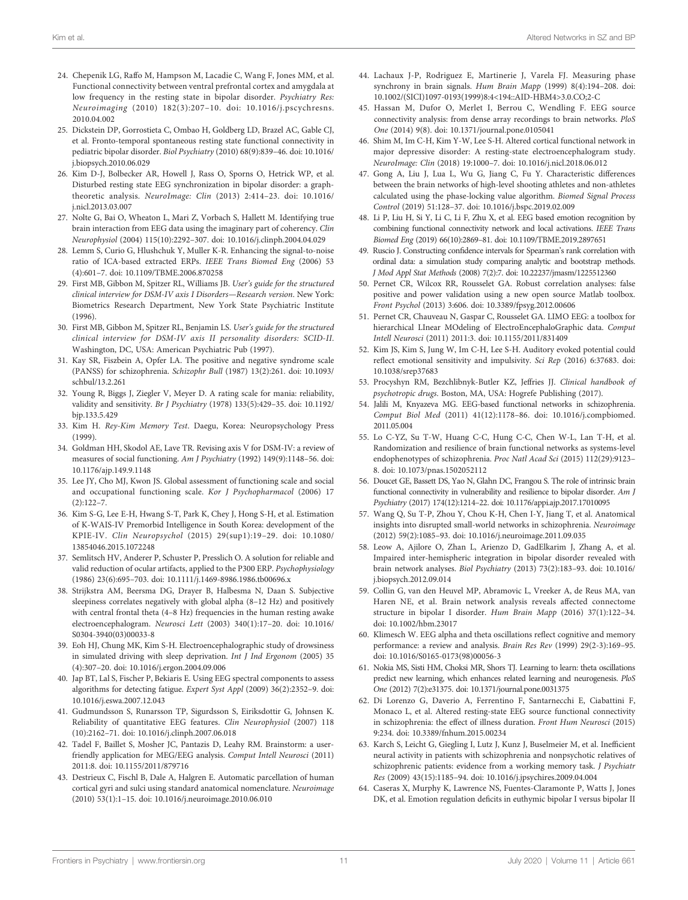- <span id="page-10-0"></span>24. Chepenik LG, Raffo M, Hampson M, Lacadie C, Wang F, Jones MM, et al. Functional connectivity between ventral prefrontal cortex and amygdala at low frequency in the resting state in bipolar disorder. Psychiatry Res: Neuroimaging (2010) 182(3):207–10. doi: [10.1016/j.pscychresns.](https://doi.org/10.1016/j.pscychresns.2010.04.002) [2010.04.002](https://doi.org/10.1016/j.pscychresns.2010.04.002)
- 25. Dickstein DP, Gorrostieta C, Ombao H, Goldberg LD, Brazel AC, Gable CJ, et al. Fronto-temporal spontaneous resting state functional connectivity in pediatric bipolar disorder. Biol Psychiatry (2010) 68(9):839–46. doi: [10.1016/](https://doi.org/10.1016/j.biopsych.2010.06.029) [j.biopsych.2010.06.029](https://doi.org/10.1016/j.biopsych.2010.06.029)
- 26. Kim D-J, Bolbecker AR, Howell J, Rass O, Sporns O, Hetrick WP, et al. Disturbed resting state EEG synchronization in bipolar disorder: a graphtheoretic analysis. NeuroImage: Clin (2013) 2:414–23. doi: [10.1016/](https://doi.org/10.1016/j.nicl.2013.03.007) [j.nicl.2013.03.007](https://doi.org/10.1016/j.nicl.2013.03.007)
- 27. Nolte G, Bai O, Wheaton L, Mari Z, Vorbach S, Hallett M. Identifying true brain interaction from EEG data using the imaginary part of coherency. Clin Neurophysiol (2004) 115(10):2292–307. doi: [10.1016/j.clinph.2004.04.029](https://doi.org/10.1016/j.clinph.2004.04.029)
- 28. Lemm S, Curio G, Hlushchuk Y, Muller K-R. Enhancing the signal-to-noise ratio of ICA-based extracted ERPs. IEEE Trans Biomed Eng (2006) 53 (4):601–7. doi: [10.1109/TBME.2006.870258](https://doi.org/10.1109/TBME.2006.870258)
- 29. First MB, Gibbon M, Spitzer RL, Williams JB. User's guide for the structured clinical interview for DSM-IV axis I Disorders—Research version. New York: Biometrics Research Department, New York State Psychiatric Institute (1996).
- 30. First MB, Gibbon M, Spitzer RL, Benjamin LS. User's guide for the structured clinical interview for DSM-IV axis II personality disorders: SCID-II. Washington, DC, USA: American Psychiatric Pub (1997).
- 31. Kay SR, Fiszbein A, Opfer LA. The positive and negative syndrome scale (PANSS) for schizophrenia. Schizophr Bull (1987) 13(2):261. doi: [10.1093/](https://doi.org/10.1093/schbul/13.2.261) [schbul/13.2.261](https://doi.org/10.1093/schbul/13.2.261)
- 32. Young R, Biggs J, Ziegler V, Meyer D. A rating scale for mania: reliability, validity and sensitivity. Br J Psychiatry (1978) 133(5):429–35. doi: [10.1192/](https://doi.org/10.1192/bjp.133.5.429) [bjp.133.5.429](https://doi.org/10.1192/bjp.133.5.429)
- 33. Kim H. Rey-Kim Memory Test. Daegu, Korea: Neuropsychology Press (1999).
- 34. Goldman HH, Skodol AE, Lave TR. Revising axis V for DSM-IV: a review of measures of social functioning. Am J Psychiatry (1992) 149(9):1148–56. doi: [10.1176/ajp.149.9.1148](https://doi.org/10.1176/ajp.149.9.1148)
- 35. Lee JY, Cho MJ, Kwon JS. Global assessment of functioning scale and social and occupational functioning scale. Kor J Psychopharmacol (2006) 17 (2):122–7.
- 36. Kim S-G, Lee E-H, Hwang S-T, Park K, Chey J, Hong S-H, et al. Estimation of K-WAIS-IV Premorbid Intelligence in South Korea: development of the KPIE-IV. Clin Neuropsychol (2015) 29(sup1):19–29. doi: [10.1080/](https://doi.org/10.1080/13854046.2015.1072248) [13854046.2015.1072248](https://doi.org/10.1080/13854046.2015.1072248)
- 37. Semlitsch HV, Anderer P, Schuster P, Presslich O. A solution for reliable and valid reduction of ocular artifacts, applied to the P300 ERP. Psychophysiology (1986) 23(6):695–703. doi: [10.1111/j.1469-8986.1986.tb00696.x](https://doi.org/10.1111/j.1469-8986.1986.tb00696.x)
- 38. Strijkstra AM, Beersma DG, Drayer B, Halbesma N, Daan S. Subjective sleepiness correlates negatively with global alpha (8–12 Hz) and positively with central frontal theta (4–8 Hz) frequencies in the human resting awake electroencephalogram. Neurosci Lett (2003) 340(1):17–20. doi: [10.1016/](https://doi.org/10.1016/S0304-3940(03)00033-8) [S0304-3940\(03\)00033-8](https://doi.org/10.1016/S0304-3940(03)00033-8)
- 39. Eoh HJ, Chung MK, Kim S-H. Electroencephalographic study of drowsiness in simulated driving with sleep deprivation. Int J Ind Ergonom (2005) 35 (4):307–20. doi: [10.1016/j.ergon.2004.09.006](https://doi.org/10.1016/j.ergon.2004.09.006)
- 40. Jap BT, Lal S, Fischer P, Bekiaris E. Using EEG spectral components to assess algorithms for detecting fatigue. Expert Syst Appl (2009) 36(2):2352–9. doi: [10.1016/j.eswa.2007.12.043](https://doi.org/10.1016/j.eswa.2007.12.043)
- 41. Gudmundsson S, Runarsson TP, Sigurdsson S, Eiriksdottir G, Johnsen K. Reliability of quantitative EEG features. Clin Neurophysiol (2007) 118 (10):2162–71. doi: [10.1016/j.clinph.2007.06.018](https://doi.org/10.1016/j.clinph.2007.06.018)
- 42. Tadel F, Baillet S, Mosher JC, Pantazis D, Leahy RM. Brainstorm: a userfriendly application for MEG/EEG analysis. Comput Intell Neurosci (2011) 2011:8. doi: [10.1155/2011/879716](https://doi.org/10.1155/2011/879716)
- 43. Destrieux C, Fischl B, Dale A, Halgren E. Automatic parcellation of human cortical gyri and sulci using standard anatomical nomenclature. Neuroimage (2010) 53(1):1–15. doi: [10.1016/j.neuroimage.2010.06.010](https://doi.org/10.1016/j.neuroimage.2010.06.010)
- 44. Lachaux J-P, Rodriguez E, Martinerie J, Varela FJ. Measuring phase synchrony in brain signals. Hum Brain Mapp (1999) 8(4):194–208. doi: [10.1002/\(SICI\)1097-0193\(1999\)8:4<194::AID-HBM4>3.0.CO;2-C](https://doi.org/10.1002/(SICI)1097-0193(1999)8:4%3C194::AID-HBM4%3E3.0.CO;2-C)
- 45. Hassan M, Dufor O, Merlet I, Berrou C, Wendling F. EEG source connectivity analysis: from dense array recordings to brain networks. PloS One (2014) 9(8). doi: [10.1371/journal.pone.0105041](https://doi.org/10.1371/journal.pone.0105041)
- 46. Shim M, Im C-H, Kim Y-W, Lee S-H. Altered cortical functional network in major depressive disorder: A resting-state electroencephalogram study. NeuroImage: Clin (2018) 19:1000–7. doi: [10.1016/j.nicl.2018.06.012](https://doi.org/10.1016/j.nicl.2018.06.012)
- 47. Gong A, Liu J, Lua L, Wu G, Jiang C, Fu Y. Characteristic differences between the brain networks of high-level shooting athletes and non-athletes calculated using the phase-locking value algorithm. Biomed Signal Process Control (2019) 51:128–37. doi: [10.1016/j.bspc.2019.02.009](https://doi.org/10.1016/j.bspc.2019.02.009)
- 48. Li P, Liu H, Si Y, Li C, Li F, Zhu X, et al. EEG based emotion recognition by combining functional connectivity network and local activations. IEEE Trans Biomed Eng (2019) 66(10):2869–81. doi: [10.1109/TBME.2019.2897651](https://doi.org/10.1109/TBME.2019.2897651)
- 49. Ruscio J. Constructing confidence intervals for Spearman's rank correlation with ordinal data: a simulation study comparing analytic and bootstrap methods. J Mod Appl Stat Methods (2008) 7(2):7. doi: [10.22237/jmasm/1225512360](https://doi.org/10.22237/jmasm/1225512360)
- 50. Pernet CR, Wilcox RR, Rousselet GA. Robust correlation analyses: false positive and power validation using a new open source Matlab toolbox. Front Psychol (2013) 3:606. doi: [10.3389/fpsyg.2012.00606](https://doi.org/10.3389/fpsyg.2012.00606)
- 51. Pernet CR, Chauveau N, Gaspar C, Rousselet GA. LIMO EEG: a toolbox for hierarchical LInear MOdeling of ElectroEncephaloGraphic data. Comput Intell Neurosci (2011) 2011:3. doi: [10.1155/2011/831409](https://doi.org/10.1155/2011/831409)
- 52. Kim JS, Kim S, Jung W, Im C-H, Lee S-H. Auditory evoked potential could reflect emotional sensitivity and impulsivity. Sci Rep (2016) 6:37683. doi: [10.1038/srep37683](https://doi.org/10.1038/srep37683)
- 53. Procyshyn RM, Bezchlibnyk-Butler KZ, Jeffries JJ. Clinical handbook of psychotropic drugs. Boston, MA, USA: Hogrefe Publishing (2017).
- 54. Jalili M, Knyazeva MG. EEG-based functional networks in schizophrenia. Comput Biol Med (2011) 41(12):1178–86. doi: [10.1016/j.compbiomed.](https://doi.org/10.1016/j.compbiomed.2011.05.004) [2011.05.004](https://doi.org/10.1016/j.compbiomed.2011.05.004)
- 55. Lo C-YZ, Su T-W, Huang C-C, Hung C-C, Chen W-L, Lan T-H, et al. Randomization and resilience of brain functional networks as systems-level endophenotypes of schizophrenia. Proc Natl Acad Sci (2015) 112(29):9123– 8. doi: [10.1073/pnas.1502052112](https://doi.org/10.1073/pnas.1502052112)
- 56. Doucet GE, Bassett DS, Yao N, Glahn DC, Frangou S. The role of intrinsic brain functional connectivity in vulnerability and resilience to bipolar disorder. Am J Psychiatry (2017) 174(12):1214–22. doi: [10.1176/appi.ajp.2017.17010095](https://doi.org/10.1176/appi.ajp.2017.17010095)
- 57. Wang Q, Su T-P, Zhou Y, Chou K-H, Chen I-Y, Jiang T, et al. Anatomical insights into disrupted small-world networks in schizophrenia. Neuroimage (2012) 59(2):1085–93. doi: [10.1016/j.neuroimage.2011.09.035](https://doi.org/10.1016/j.neuroimage.2011.09.035)
- 58. Leow A, Ajilore O, Zhan L, Arienzo D, GadElkarim J, Zhang A, et al. Impaired inter-hemispheric integration in bipolar disorder revealed with brain network analyses. Biol Psychiatry (2013) 73(2):183–93. doi: [10.1016/](https://doi.org/10.1016/j.biopsych.2012.09.014) [j.biopsych.2012.09.014](https://doi.org/10.1016/j.biopsych.2012.09.014)
- 59. Collin G, van den Heuvel MP, Abramovic L, Vreeker A, de Reus MA, van Haren NE, et al. Brain network analysis reveals affected connectome structure in bipolar I disorder. Hum Brain Mapp (2016) 37(1):122–34. doi: [10.1002/hbm.23017](https://doi.org/10.1002/hbm.23017)
- 60. Klimesch W. EEG alpha and theta oscillations reflect cognitive and memory performance: a review and analysis. Brain Res Rev (1999) 29(2-3):169–95. doi: [10.1016/S0165-0173\(98\)00056-3](https://doi.org/10.1016/S0165-0173(98)00056-3)
- 61. Nokia MS, Sisti HM, Choksi MR, Shors TJ. Learning to learn: theta oscillations predict new learning, which enhances related learning and neurogenesis. PloS One (2012) 7(2):e31375. doi: [10.1371/journal.pone.0031375](https://doi.org/10.1371/journal.pone.0031375)
- 62. Di Lorenzo G, Daverio A, Ferrentino F, Santarnecchi E, Ciabattini F, Monaco L, et al. Altered resting-state EEG source functional connectivity in schizophrenia: the effect of illness duration. Front Hum Neurosci (2015) 9:234. doi: [10.3389/fnhum.2015.00234](https://doi.org/10.3389/fnhum.2015.00234)
- 63. Karch S, Leicht G, Giegling I, Lutz J, Kunz J, Buselmeier M, et al. Inefficient neural activity in patients with schizophrenia and nonpsychotic relatives of schizophrenic patients: evidence from a working memory task. J Psychiatr Res (2009) 43(15):1185–94. doi: [10.1016/j.jpsychires.2009.04.004](https://doi.org/10.1016/j.jpsychires.2009.04.004)
- 64. Caseras X, Murphy K, Lawrence NS, Fuentes-Claramonte P, Watts J, Jones DK, et al. Emotion regulation deficits in euthymic bipolar I versus bipolar II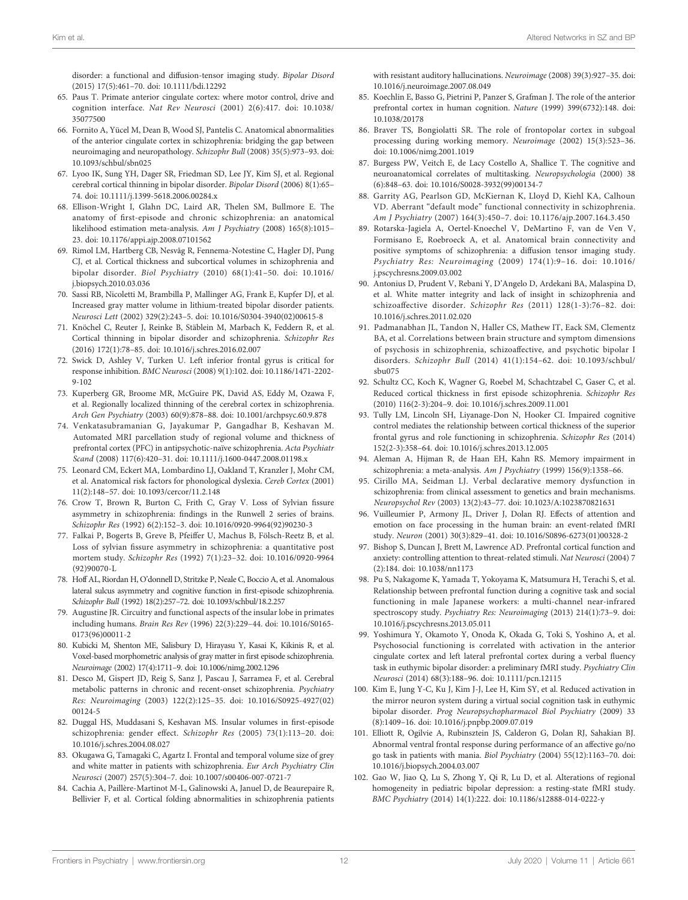<span id="page-11-0"></span>disorder: a functional and diffusion-tensor imaging study. Bipolar Disord (2015) 17(5):461–70. doi: [10.1111/bdi.12292](https://doi.org/10.1111/bdi.12292)

- 65. Paus T. Primate anterior cingulate cortex: where motor control, drive and cognition interface. Nat Rev Neurosci (2001) 2(6):417. doi: [10.1038/](https://doi.org/10.1038/35077500) [35077500](https://doi.org/10.1038/35077500)
- 66. Fornito A, Yücel M, Dean B, Wood SJ, Pantelis C. Anatomical abnormalities of the anterior cingulate cortex in schizophrenia: bridging the gap between neuroimaging and neuropathology. Schizophr Bull (2008) 35(5):973–93. doi: [10.1093/schbul/sbn025](https://doi.org/10.1093/schbul/sbn025)
- 67. Lyoo IK, Sung YH, Dager SR, Friedman SD, Lee JY, Kim SJ, et al. Regional cerebral cortical thinning in bipolar disorder. Bipolar Disord (2006) 8(1):65– 74. doi: [10.1111/j.1399-5618.2006.00284.x](https://doi.org/10.1111/j.1399-5618.2006.00284.x)
- 68. Ellison-Wright I, Glahn DC, Laird AR, Thelen SM, Bullmore E. The anatomy of first-episode and chronic schizophrenia: an anatomical likelihood estimation meta-analysis. Am J Psychiatry (2008) 165(8):1015– 23. doi: [10.1176/appi.ajp.2008.07101562](https://doi.org/10.1176/appi.ajp.2008.07101562)
- 69. Rimol LM, Hartberg CB, Nesvåg R, Fennema-Notestine C, Hagler DJ, Pung CJ, et al. Cortical thickness and subcortical volumes in schizophrenia and bipolar disorder. Biol Psychiatry (2010) 68(1):41–50. doi: [10.1016/](https://doi.org/10.1016/j.biopsych.2010.03.036) [j.biopsych.2010.03.036](https://doi.org/10.1016/j.biopsych.2010.03.036)
- 70. Sassi RB, Nicoletti M, Brambilla P, Mallinger AG, Frank E, Kupfer DJ, et al. Increased gray matter volume in lithium-treated bipolar disorder patients. Neurosci Lett (2002) 329(2):243–5. doi: [10.1016/S0304-3940\(02\)00615-8](https://doi.org/10.1016/S0304-3940(02)00615-8)
- 71. Knöchel C, Reuter J, Reinke B, Stäblein M, Marbach K, Feddern R, et al. Cortical thinning in bipolar disorder and schizophrenia. Schizophr Res (2016) 172(1):78–85. doi: [10.1016/j.schres.2016.02.007](https://doi.org/10.1016/j.schres.2016.02.007)
- 72. Swick D, Ashley V, Turken U. Left inferior frontal gyrus is critical for response inhibition. BMC Neurosci (2008) 9(1):102. doi: [10.1186/1471-2202-](https://doi.org/10.1186/1471-2202-9-102) [9-102](https://doi.org/10.1186/1471-2202-9-102)
- 73. Kuperberg GR, Broome MR, McGuire PK, David AS, Eddy M, Ozawa F, et al. Regionally localized thinning of the cerebral cortex in schizophrenia. Arch Gen Psychiatry (2003) 60(9):878–88. doi: [10.1001/archpsyc.60.9.878](https://doi.org/10.1001/archpsyc.60.9.878)
- 74. Venkatasubramanian G, Jayakumar P, Gangadhar B, Keshavan M. Automated MRI parcellation study of regional volume and thickness of prefrontal cortex (PFC) in antipsychotic-naïve schizophrenia. Acta Psychiatr Scand (2008) 117(6):420–31. doi: [10.1111/j.1600-0447.2008.01198.x](https://doi.org/10.1111/j.1600-0447.2008.01198.x)
- 75. Leonard CM, Eckert MA, Lombardino LJ, Oakland T, Kranzler J, Mohr CM, et al. Anatomical risk factors for phonological dyslexia. Cereb Cortex (2001) 11(2):148–57. doi: [10.1093/cercor/11.2.148](https://doi.org/10.1093/cercor/11.2.148)
- 76. Crow T, Brown R, Burton C, Frith C, Gray V. Loss of Sylvian fissure asymmetry in schizophrenia: findings in the Runwell 2 series of brains. Schizophr Res (1992) 6(2):152–3. doi: [10.1016/0920-9964\(92\)90230-3](https://doi.org/10.1016/0920-9964(92)90230-3)
- 77. Falkai P, Bogerts B, Greve B, Pfeiffer U, Machus B, Fölsch-Reetz B, et al. Loss of sylvian fissure asymmetry in schizophrenia: a quantitative post mortem study. Schizophr Res (1992) 7(1):23–32. doi: [10.1016/0920-9964](https://doi.org/10.1016/0920-9964(92)90070-L) [\(92\)90070-L](https://doi.org/10.1016/0920-9964(92)90070-L)
- 78. Hoff AL, Riordan H, O'donnell D, Stritzke P, Neale C, Boccio A, et al. Anomalous lateral sulcus asymmetry and cognitive function in first-episode schizophrenia. Schizophr Bull (1992) 18(2):257–72. doi: [10.1093/schbul/18.2.257](https://doi.org/10.1093/schbul/18.2.257)
- 79. Augustine JR. Circuitry and functional aspects of the insular lobe in primates including humans. Brain Res Rev (1996) 22(3):229–44. doi: [10.1016/S0165-](https://doi.org/10.1016/S0165-0173(96)00011-2) [0173\(96\)00011-2](https://doi.org/10.1016/S0165-0173(96)00011-2)
- 80. Kubicki M, Shenton ME, Salisbury D, Hirayasu Y, Kasai K, Kikinis R, et al. Voxel-based morphometric analysis of gray matter in first episode schizophrenia. Neuroimage (2002) 17(4):1711–9. doi: [10.1006/nimg.2002.1296](https://doi.org/10.1006/nimg.2002.1296)
- 81. Desco M, Gispert JD, Reig S, Sanz J, Pascau J, Sarramea F, et al. Cerebral metabolic patterns in chronic and recent-onset schizophrenia. Psychiatry Res: Neuroimaging (2003) 122(2):125–35. doi: [10.1016/S0925-4927\(02\)](https://doi.org/10.1016/S0925-4927(02)00124-5) [00124-5](https://doi.org/10.1016/S0925-4927(02)00124-5)
- 82. Duggal HS, Muddasani S, Keshavan MS. Insular volumes in first-episode schizophrenia: gender effect. Schizophr Res (2005) 73(1):113–20. doi: [10.1016/j.schres.2004.08.027](https://doi.org/10.1016/j.schres.2004.08.027)
- 83. Okugawa G, Tamagaki C, Agartz I. Frontal and temporal volume size of grey and white matter in patients with schizophrenia. Eur Arch Psychiatry Clin Neurosci (2007) 257(5):304–7. doi: [10.1007/s00406-007-0721-7](https://doi.org/10.1007/s00406-007-0721-7)
- 84. Cachia A, Paillère-Martinot M-L, Galinowski A, Januel D, de Beaurepaire R, Bellivier F, et al. Cortical folding abnormalities in schizophrenia patients

with resistant auditory hallucinations. Neuroimage (2008) 39(3):927–35. doi: [10.1016/j.neuroimage.2007.08.049](https://doi.org/10.1016/j.neuroimage.2007.08.049)

- 85. Koechlin E, Basso G, Pietrini P, Panzer S, Grafman J. The role of the anterior prefrontal cortex in human cognition. Nature (1999) 399(6732):148. doi: [10.1038/20178](https://doi.org/10.1038/20178)
- 86. Braver TS, Bongiolatti SR. The role of frontopolar cortex in subgoal processing during working memory. Neuroimage (2002) 15(3):523–36. doi: [10.1006/nimg.2001.1019](https://doi.org/10.1006/nimg.2001.1019)
- 87. Burgess PW, Veitch E, de Lacy Costello A, Shallice T. The cognitive and neuroanatomical correlates of multitasking. Neuropsychologia (2000) 38 (6):848–63. doi: [10.1016/S0028-3932\(99\)00134-7](https://doi.org/10.1016/S0028-3932(99)00134-7)
- 88. Garrity AG, Pearlson GD, McKiernan K, Lloyd D, Kiehl KA, Calhoun VD. Aberrant "default mode" functional connectivity in schizophrenia. Am J Psychiatry (2007) 164(3):450–7. doi: [10.1176/ajp.2007.164.3.450](https://doi.org/10.1176/ajp.2007.164.3.450)
- 89. Rotarska-Jagiela A, Oertel-Knoechel V, DeMartino F, van de Ven V, Formisano E, Roebroeck A, et al. Anatomical brain connectivity and positive symptoms of schizophrenia: a diffusion tensor imaging study. Psychiatry Res: Neuroimaging (2009) 174(1):9–16. doi: [10.1016/](https://doi.org/10.1016/j.pscychresns.2009.03.002) [j.pscychresns.2009.03.002](https://doi.org/10.1016/j.pscychresns.2009.03.002)
- 90. Antonius D, Prudent V, Rebani Y, D'Angelo D, Ardekani BA, Malaspina D, et al. White matter integrity and lack of insight in schizophrenia and schizoaffective disorder. Schizophr Res (2011) 128(1-3):76–82. doi: [10.1016/j.schres.2011.02.020](https://doi.org/10.1016/j.schres.2011.02.020)
- 91. Padmanabhan JL, Tandon N, Haller CS, Mathew IT, Eack SM, Clementz BA, et al. Correlations between brain structure and symptom dimensions of psychosis in schizophrenia, schizoaffective, and psychotic bipolar I disorders. Schizophr Bull (2014) 41(1):154–62. doi: [10.1093/schbul/](https://doi.org/10.1093/schbul/sbu075) [sbu075](https://doi.org/10.1093/schbul/sbu075)
- 92. Schultz CC, Koch K, Wagner G, Roebel M, Schachtzabel C, Gaser C, et al. Reduced cortical thickness in first episode schizophrenia. Schizophr Res (2010) 116(2-3):204–9. doi: [10.1016/j.schres.2009.11.001](https://doi.org/10.1016/j.schres.2009.11.001)
- 93. Tully LM, Lincoln SH, Liyanage-Don N, Hooker CI. Impaired cognitive control mediates the relationship between cortical thickness of the superior frontal gyrus and role functioning in schizophrenia. Schizophr Res (2014) 152(2-3):358–64. doi: [10.1016/j.schres.2013.12.005](https://doi.org/10.1016/j.schres.2013.12.005)
- 94. Aleman A, Hijman R, de Haan EH, Kahn RS. Memory impairment in schizophrenia: a meta-analysis. Am J Psychiatry (1999) 156(9):1358–66.
- 95. Cirillo MA, Seidman LJ. Verbal declarative memory dysfunction in schizophrenia: from clinical assessment to genetics and brain mechanisms. Neuropsychol Rev (2003) 13(2):43–77. doi: [10.1023/A:1023870821631](https://doi.org/10.1023/A:1023870821631)
- 96. Vuilleumier P, Armony JL, Driver J, Dolan RJ. Effects of attention and emotion on face processing in the human brain: an event-related fMRI study. Neuron (2001) 30(3):829–41. doi: [10.1016/S0896-6273\(01\)00328-2](https://doi.org/10.1016/S0896-6273(01)00328-2)
- 97. Bishop S, Duncan J, Brett M, Lawrence AD. Prefrontal cortical function and anxiety: controlling attention to threat-related stimuli. Nat Neurosci (2004) 7 (2):184. doi: [10.1038/nn1173](https://doi.org/10.1038/nn1173)
- 98. Pu S, Nakagome K, Yamada T, Yokoyama K, Matsumura H, Terachi S, et al. Relationship between prefrontal function during a cognitive task and social functioning in male Japanese workers: a multi-channel near-infrared spectroscopy study. Psychiatry Res: Neuroimaging (2013) 214(1):73–9. doi: [10.1016/j.pscychresns.2013.05.011](https://doi.org/10.1016/j.pscychresns.2013.05.011)
- 99. Yoshimura Y, Okamoto Y, Onoda K, Okada G, Toki S, Yoshino A, et al. Psychosocial functioning is correlated with activation in the anterior cingulate cortex and left lateral prefrontal cortex during a verbal fluency task in euthymic bipolar disorder: a preliminary fMRI study. Psychiatry Clin Neurosci (2014) 68(3):188–96. doi: [10.1111/pcn.12115](https://doi.org/10.1111/pcn.12115)
- 100. Kim E, Jung Y-C, Ku J, Kim J-J, Lee H, Kim SY, et al. Reduced activation in the mirror neuron system during a virtual social cognition task in euthymic bipolar disorder. Prog Neuropsychopharmacol Biol Psychiatry (2009) 33 (8):1409–16. doi: [10.1016/j.pnpbp.2009.07.019](https://doi.org/10.1016/j.pnpbp.2009.07.019)
- 101. Elliott R, Ogilvie A, Rubinsztein JS, Calderon G, Dolan RJ, Sahakian BJ. Abnormal ventral frontal response during performance of an affective go/no go task in patients with mania. Biol Psychiatry (2004) 55(12):1163–70. doi: [10.1016/j.biopsych.2004.03.007](https://doi.org/10.1016/j.biopsych.2004.03.007)
- 102. Gao W, Jiao Q, Lu S, Zhong Y, Qi R, Lu D, et al. Alterations of regional homogeneity in pediatric bipolar depression: a resting-state fMRI study. BMC Psychiatry (2014) 14(1):222. doi: [10.1186/s12888-014-0222-y](https://doi.org/10.1186/s12888-014-0222-y)